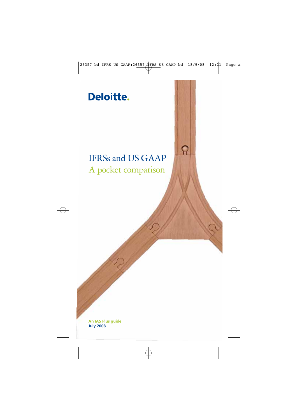# Deloitte.

# IFRSs and US GAAP A pocket comparison

ନ

**An IAS Plus guide July 2008**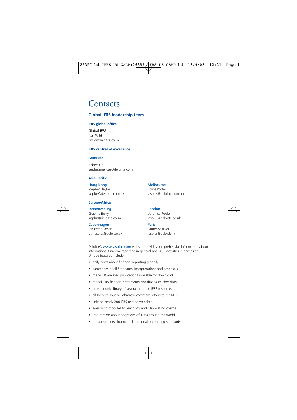# **Contacts**

# **Global IFRS leadership team**

## **IFRS global office**

Global IFRS leader Ken Wild kwild@deloitte.co.uk

### **IFRS centres of excellence**

### **Americas**

Robert Uhl iasplusamericas@deloitte.com

### **Asia-Pacific**

Hong Kong **Melbourne** Stephen Taylor Bruce Porter

### **Europe-Africa**

Johannesburg London Graeme Berry **Veronica Poole** iasplus@deloitte.co.za iasplus@deloitte.co.uk

Copenhagen Paris Jan Peter Larsen Laurence Rivat dk\_iasplus@deloitte.dk iasplus@deloitte.fr

iasplus@deloitte.com.hk iasplus@deloitte.com.au

Deloitte's www.iasplus.com website provides comprehensive information about international financial reporting in general and IASB activities in particular. Unique features include:

- daily news about financial reporting globally.
- summaries of all Standards, Interpretations and proposals.
- many IFRS-related publications available for download.
- model IFRS financial statements and disclosure checklists.
- an electronic library of several hundred IFRS resources.
- all Deloitte Touche Tohmatsu comment letters to the IASB.
- links to nearly 200 IFRS-related websites.
- e-learning modules for each IAS and IFRS at no charge.
- information about adoptions of IFRSs around the world.
- updates on developments in national accounting standards.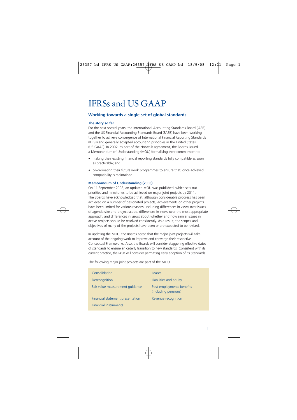# IFRSs and US GAAP

# **Working towards a single set of global standards**

### **The story so far**

For the past several years, the International Accounting Standards Board (IASB) and the US Financial Accounting Standards Board (FASB) have been working together to achieve convergence of International Financial Reporting Standards (IFRSs) and generally accepted accounting principles in the United States (US GAAP). In 2002, as part of the Norwalk agreement, the Boards issued a Memorandum of Understanding (MOU) formalising their commitment to:

- making their existing financial reporting standards fully compatible as soon as practicable; and
- co-ordinating their future work programmes to ensure that, once achieved, compatibility is maintained.

### **Memorandum of Understanding (2008)**

On 11 September 2008, an updated MOU was published, which sets out priorities and milestones to be achieved on major joint projects by 2011. The Boards have acknowledged that, although considerable progress has been achieved on a number of designated projects, achievements on other projects have been limited for various reasons, including differences in views over issues of agenda size and project scope, differences in views over the most appropriate approach, and differences in views about whether and how similar issues in active projects should be resolved consistently. As a result, the scopes and objectives of many of the projects have been or are expected to be revised.

In updating the MOU, the Boards noted that the major joint projects will take account of the ongoing work to improve and converge their respective Conceptual Frameworks. Also, the Boards will consider staggering effective dates of standards to ensure an orderly transition to new standards. Consistent with its current practice, the IASB will consider permitting early adoption of its Standards.

The following major joint projects are part of the MOU.

| Consolidation                    | Leases                                            |
|----------------------------------|---------------------------------------------------|
| Derecognition                    | Liabilities and equity                            |
| Fair value measurement quidance  | Post-employments benefits<br>(including pensions) |
| Financial statement presentation | Revenue recognition                               |
| <b>Financial instruments</b>     |                                                   |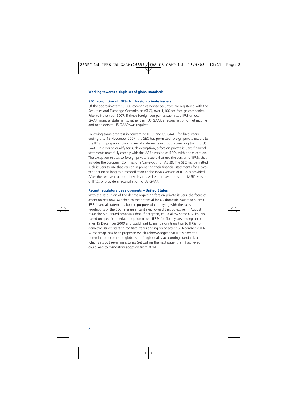#### **Working towards a single set of global standards**

#### **SEC recognition of IFRSs for foreign private issuers**

Of the approximately 15,000 companies whose securities are registered with the Securities and Exchange Commission (SEC), over 1,100 are foreign companies. Prior to November 2007, if these foreign companies submitted IFRS or local GAAP financial statements, rather than US GAAP, a reconciliation of net income and net assets to US GAAP was required.

Following some progress in converging IFRSs and US GAAP, for fiscal years ending after15 November 2007, the SEC has permitted foreign private issuers to use IFRSs in preparing their financial statements without reconciling them to US GAAP. In order to qualify for such exemption, a foreign private issuer's financial statements must fully comply with the IASB's version of IFRSs, with one exception. The exception relates to foreign private issuers that use the version of IFRSs that includes the European Commission's 'carve-out' for IAS 39. The SEC has permitted such issuers to use that version in preparing their financial statements for a twoyear period as long as a reconciliation to the IASB's version of IFRSs is provided. After the two-year period, these issuers will either have to use the IASB's version of IFRSs or provide a reconciliation to US GAAP.

#### **Recent regulatory developments – United States**

With the resolution of the debate regarding foreign private issuers, the focus of attention has now switched to the potential for US domestic issuers to submit IFRS financial statements for the purpose of complying with the rules and regulations of the SEC. In a significant step toward that objective, in August 2008 the SEC issued proposals that, if accepted, could allow some U.S. issuers, based on specific criteria, an option to use IFRSs for fiscal years ending on or after 15 December 2009 and could lead to mandatory transition to IFRSs for domestic issuers starting for fiscal years ending on or after 15 December 2014. A 'roadmap' has been proposed which acknowledges that IFRSs have the potential to become the global set of high-quality accounting standards and which sets out seven milestones (set out on the next page) that, if achieved, could lead to mandatory adoption from 2014.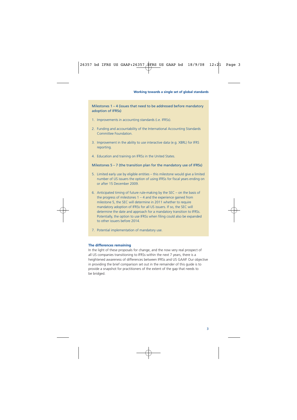Milestones 1 – 4 (issues that need to be addressed before mandatory adoption of IFRSs)

- 1. Improvements in accounting standards (i.e. IFRSs).
- 2. Funding and accountability of the International Accounting Standards Committee Foundation.
- 3. Improvement in the ability to use interactive data (e.g. XBRL) for IFRS reporting.
- 4. Education and training on IFRSs in the United States.

#### Milestones 5 – 7 (the transition plan for the mandatory use of IFRSs)

- 5. Limited early use by eligible entities this milestone would give a limited number of US issuers the option of using IFRSs for fiscal years ending on or after 15 December 2009.
- 6. Anticipated timing of future rule-making by the SEC on the basis of the progress of milestones  $1 - 4$  and the experience gained from milestone 5, the SEC will determine in 2011 whether to require mandatory adoption of IFRSs for all US issuers. If so, the SEC will determine the date and approach for a mandatory transition to IFRSs. Potentially, the option to use IFRSs when filing could also be expanded to other issuers before 2014.
- 7. Potential implementation of mandatory use.

#### **The differences remaining**

In the light of these proposals for change, and the now very real prospect of all US companies transitioning to IFRSs within the next 7 years, there is a heightened awareness of differences between IFRSs and US GAAP. Our objective in providing the brief comparison set out in the remainder of this guide is to provide a snapshot for practitioners of the extent of the gap that needs to be bridged.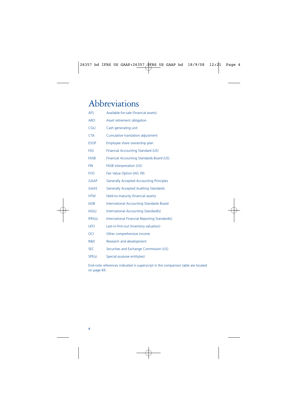# Abbreviations

| <b>AFS</b>  | Available-for-sale (financial assets)           |
|-------------|-------------------------------------------------|
| <b>ARO</b>  | Asset retirement obligation                     |
| CGU         | Cash generating unit                            |
| <b>CTA</b>  | Cumulative translation adjustment               |
| <b>ESOP</b> | Employee share ownership plan                   |
| <b>FAS</b>  | Financial Accounting Standard (US)              |
| <b>FASB</b> | Financial Accounting Standards Board (US)       |
| <b>FIN</b>  | <b>FASB Interpretation (US)</b>                 |
| <b>FVO</b>  | Fair Value Option (IAS 39)                      |
| <b>GAAP</b> | <b>Generally Accepted Accounting Principles</b> |
| <b>GAAS</b> | <b>Generally Accepted Auditing Standards</b>    |
| <b>HTM</b>  | Held-to-maturity (financial assets)             |
| <b>IASB</b> | <b>International Accounting Standards Board</b> |
| IAS(s)      | International Accounting Standard(s)            |
| IFRS(s)     | International Financial Reporting Standard(s)   |
| <b>LIFO</b> | Last-in-first-out (inventory valuation)         |
| <b>OCI</b>  | Other comprehensive income                      |
| R&D         | Research and development                        |
| <b>SEC</b>  | Securities and Exchange Commission (US)         |
| SPE(s)      | Special purpose entity(ies)                     |

End-note references indicated in superscript in the comparison table are located on page 69.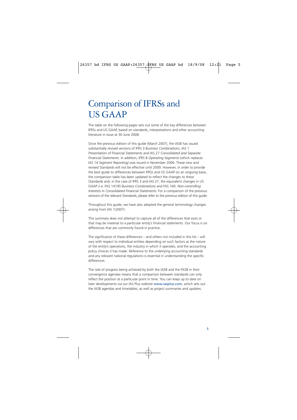The table on the following pages sets out some of the key differences between IFRSs and US GAAP, based on standards, interpretations and other accounting literature in issue at 30 June 2008.

Since the previous edition of this guide (March 2007), the IASB has issued substantially revised versions of IFRS 3 *Business Combinations*, IAS 1 *Presentation of Financial Statements* and IAS 27 *Consolidated and Separate Financial Statements*. In addition, IFRS 8 *Operating Segments* (which replaces IAS 14 *Segment Reporting)* was issued in November 2006. These new and revised Standards will not be effective until 2009. However, in order to provide the best guide to differences between IFRSs and US GAAP on an ongoing basis, the comparison table has been updated to reflect the changes to these Standards and, in the case of IFRS 3 and IAS 27, the equivalent changes in US GAAP (i.e. FAS 141(R) *Business Combinations* and FAS 160. *Non-controlling Interests in Consolidated Financial Statements.* For a comparison of the previous versions of the relevant Standards, please refer to the previous edition of this guide.

Throughout this guide, we have also adopted the general terminology changes arising from IAS 1(2007).

This summary does not attempt to capture all of the differences that exist or that may be material to a particular entity's financial statements. Our focus is on differences that are commonly found in practice.

The significance of these differences – and others not included in this list – will vary with respect to individual entities depending on such factors as the nature of the entity's operations, the industry in which it operates, and the accounting policy choices it has made. Reference to the underlying accounting standards and any relevant national regulations is essential in understanding the specific differences.

The rate of progress being achieved by both the IASB and the FASB in their convergence agendas means that a comparison between standards can only reflect the position at a particular point in time. You can keep up to date on later developments via our IAS Plus website www.iasplus.com, which sets out the IASB agendas and timetables, as well as project summaries and updates.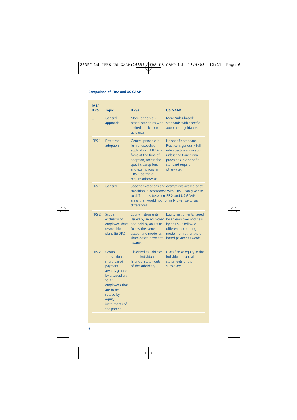| IAS/<br><b>IFRS</b> | <b>Topic</b>                                                                                                                                                                           | <b>IFRSs</b>                                                                                                                                                                                                | <b>US GAAP</b>                                                                                                                                                                                           |
|---------------------|----------------------------------------------------------------------------------------------------------------------------------------------------------------------------------------|-------------------------------------------------------------------------------------------------------------------------------------------------------------------------------------------------------------|----------------------------------------------------------------------------------------------------------------------------------------------------------------------------------------------------------|
|                     | General<br>approach                                                                                                                                                                    | More 'principles-<br>based' standards with<br>limited application<br>quidance.                                                                                                                              | More 'rules-based'<br>standards with specific<br>application guidance.                                                                                                                                   |
| <b>IFRS 1</b>       | First-time<br>adoption                                                                                                                                                                 | General principle is<br>full retrospective<br>application of IFRSs in<br>force at the time of<br>adoption, unless the<br>specific exceptions<br>and exemptions in<br>IFRS 1 permit or<br>require otherwise. | No specific standard.<br>Practice is generally full<br>retrospective application<br>unless the transitional<br>provisions in a specific<br>standard require<br>otherwise.                                |
| <b>IFRS 1</b>       | General                                                                                                                                                                                | differences.                                                                                                                                                                                                | Specific exceptions and exemptions availed of at<br>transition in accordance with IFRS 1 can give rise<br>to differences between IFRSs and US GAAP in<br>areas that would not normally give rise to such |
| <b>IFRS 2</b>       | Scope:<br>exclusion of<br>employee share<br>ownership<br>plans (ESOPs)                                                                                                                 | <b>Equity instruments</b><br>issued by an employer<br>and held by an ESOP<br>follow the same<br>accounting model as<br>share-based payment<br>awards.                                                       | Equity instruments issued<br>by an employer and held<br>by an ESOP follow a<br>different accounting<br>model from other share-<br>based payment awards.                                                  |
| <b>IFRS 2</b>       | Group<br>transactions:<br>share-based<br>payment<br>awards granted<br>by a subsidiary<br>to its<br>employees that<br>are to be<br>settled by<br>equity<br>instruments of<br>the parent | <b>Classified as liabilities</b><br>in the individual<br>financial statements<br>of the subsidiary.                                                                                                         | Classified as equity in the<br>individual financial<br>statements of the<br>subsidiary.                                                                                                                  |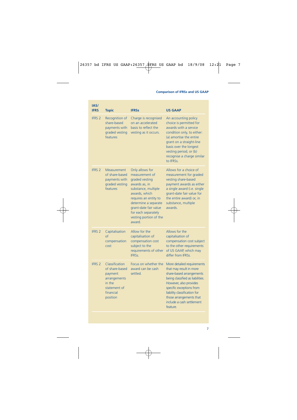| IAS/<br><b>IFRS</b> | <b>Topic</b>                                                                                                   | <b>IFRSs</b>                                                                                                                                                                                                                                     | <b>US GAAP</b>                                                                                                                                                                                                                                                                  |
|---------------------|----------------------------------------------------------------------------------------------------------------|--------------------------------------------------------------------------------------------------------------------------------------------------------------------------------------------------------------------------------------------------|---------------------------------------------------------------------------------------------------------------------------------------------------------------------------------------------------------------------------------------------------------------------------------|
| <b>IFRS 2</b>       | Recognition of<br>share-based<br>payments with<br>graded vesting<br>features                                   | Charge is recognised<br>on an accelerated<br>basis to reflect the<br>vesting as it occurs.                                                                                                                                                       | An accounting policy<br>choice is permitted for<br>awards with a service<br>condition only, to either:<br>(a) amortise the entire<br>grant on a straight-line<br>basis over the longest<br>vesting period; or (b)<br>recognise a charge similar<br>to IFRSs.                    |
| <b>IFRS 2</b>       | Measurement<br>of share-based<br>payments with<br>graded vesting<br>features                                   | Only allows for<br>measurement of<br>graded vesting<br>awards as, in<br>substance, multiple<br>awards, which<br>requires an entity to<br>determine a separate<br>grant-date fair value<br>for each separately<br>vesting portion of the<br>award | Allows for a choice of<br>measurement for graded<br>vesting share-based<br>payment awards as either<br>a single award (i.e. single<br>grant-date fair value for<br>the entire award) or, in<br>substance, multiple<br>awards.                                                   |
| <b>IFRS 2</b>       | Capitalisation<br>$\sigma$<br>compensation<br>cost                                                             | Allow for the<br>capitalisation of<br>compensation cost<br>subject to the<br>requirements of other<br>IFRSs.                                                                                                                                     | Allows for the<br>capitalisation of<br>compensation cost subject<br>to the other requirements<br>of US GAAP, which may<br>differ from IFRSs.                                                                                                                                    |
| <b>IFRS 2</b>       | Classification<br>of share-based<br>payment<br>arrangements<br>in the<br>statement of<br>financial<br>position | Focus on whether the<br>award can be cash<br>settled.                                                                                                                                                                                            | More detailed requirements<br>that may result in more<br>share-based arrangements<br>being classified as liabilities.<br>However, also provides<br>specific exceptions from<br>liability classification for<br>those arrangements that<br>include a cash settlement<br>feature. |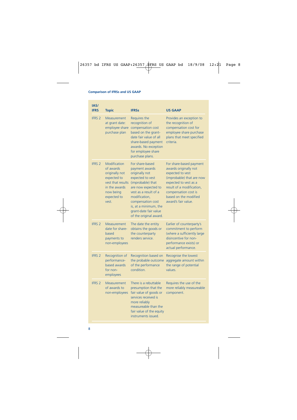| IAS/                         |                                                                                                                                       |                                                                                                                                                                                                                                                                |                                                                                                                                                                                                                                |
|------------------------------|---------------------------------------------------------------------------------------------------------------------------------------|----------------------------------------------------------------------------------------------------------------------------------------------------------------------------------------------------------------------------------------------------------------|--------------------------------------------------------------------------------------------------------------------------------------------------------------------------------------------------------------------------------|
| <b>IFRS</b><br><b>IFRS 2</b> | <b>Topic</b><br>Measurement<br>at grant date:<br>employee share<br>purchase plan                                                      | <b>IFRSs</b><br>Requires the<br>recognition of<br>compensation cost<br>based on the grant-<br>date fair value of all<br>share-based payment<br>awards. No exception<br>for employee share<br>purchase plans.                                                   | <b>US GAAP</b><br>Provides an exception to<br>the recognition of<br>compensation cost for<br>employee share purchase<br>plans that meet specified<br>criteria.                                                                 |
| <b>IFRS 2</b>                | Modification<br>of awards<br>originally not<br>expected to<br>vest that results<br>in the awards<br>now being<br>expected to<br>vest. | For share-based<br>payment awards<br>originally not<br>expected to vest<br>(improbable) that<br>are now expected to<br>vest as a result of a<br>modification.<br>compensation cost<br>is, at a minimum, the<br>grant-date fair value<br>of the original award. | For share-based payment<br>awards originally not<br>expected to vest<br>(improbable) that are now<br>expected to vest as a<br>result of a modification,<br>compensation cost is<br>based on the modified<br>award's fair value |
| <b>IFRS 2</b>                | Measurement<br>date for share-<br>based<br>payments to<br>non-employees                                                               | The date the entity<br>obtains the goods or<br>the counterparty<br>renders service.                                                                                                                                                                            | Earlier of counterparty's<br>commitment to perform<br>(where a sufficiently large<br>disincentive for non-<br>performance exists) or<br>actual performance.                                                                    |
| <b>IFRS 2</b>                | Recognition of<br>performance-<br>based awards<br>for non-<br>employees                                                               | Recognition based on<br>the probable outcome<br>of the performance<br>condition.                                                                                                                                                                               | Recognise the lowest<br>aggregate amount within<br>the range of potential<br>values.                                                                                                                                           |
| <b>IFRS 2</b>                | Measurement<br>of awards to<br>non-employees                                                                                          | There is a rebuttable<br>presumption that the<br>fair value of goods or<br>services received is<br>more reliably<br>measureable than the<br>fair value of the equity<br>instruments issued.                                                                    | Requires the use of the<br>more reliably measureable<br>component.                                                                                                                                                             |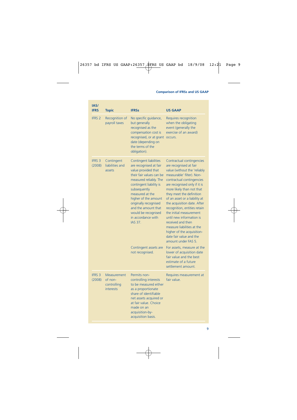| IAS/<br><b>IFRS</b>     | <b>Topic</b>                                              | <b>IFRSs</b>                                                                                                                                                                                                                                                                                                                              | <b>US GAAP</b>                                                                                                                                                                                                                                                                                                                                                                                                                                                                                                                   |
|-------------------------|-----------------------------------------------------------|-------------------------------------------------------------------------------------------------------------------------------------------------------------------------------------------------------------------------------------------------------------------------------------------------------------------------------------------|----------------------------------------------------------------------------------------------------------------------------------------------------------------------------------------------------------------------------------------------------------------------------------------------------------------------------------------------------------------------------------------------------------------------------------------------------------------------------------------------------------------------------------|
| <b>IFRS 2</b>           | Recognition of<br>payroll taxes                           | No specific quidance,<br>but generally<br>recognised as the<br>compensation cost is<br>recognised, or at grant<br>date (depending on<br>the terms of the<br>obligation).                                                                                                                                                                  | Requires recognition<br>when the obligating<br>event (generally the<br>exercise of an award)<br>occurs.                                                                                                                                                                                                                                                                                                                                                                                                                          |
| <b>IFRS 3</b><br>(2008) | Contingent<br>liabilities and<br>assets                   | <b>Contingent liabilities</b><br>are recognised at fair<br>value provided that<br>their fair values can be<br>measured reliably. The<br>contingent liability is<br>subsequently<br>measured at the<br>higher of the amount<br>originally recognised<br>and the amount that<br>would be recognised<br>in accordance with<br><b>IAS 37.</b> | Contractual contingencies<br>are recognised at fair<br>value (without the 'reliably<br>measurable' filter). Non-<br>contractual contingencies<br>are recognised only if it is<br>more likely than not that<br>they meet the definition<br>of an asset or a liability at<br>the acquisition date. After<br>recognition, entities retain<br>the initial measurement<br>until new information is<br>received and then<br>measure liabilities at the<br>higher of the acquisition-<br>date fair value and the<br>amount under FAS 5. |
|                         |                                                           | Contingent assets are<br>not recognised.                                                                                                                                                                                                                                                                                                  | For assets, measure at the<br>lower of acquisition date<br>fair value and the best<br>estimate of a future<br>settlement amount.                                                                                                                                                                                                                                                                                                                                                                                                 |
| <b>IFRS 3</b><br>(2008) | Measurement<br>of non-<br>controlling<br><b>interests</b> | Permits non-<br>controlling interests<br>to be measured either<br>as a proportionate<br>share of identifiable<br>net assets acquired or<br>at fair value. Choice<br>made on an<br>acquisition-by-<br>acquisition basis.                                                                                                                   | Requires measurement at<br>fair value.                                                                                                                                                                                                                                                                                                                                                                                                                                                                                           |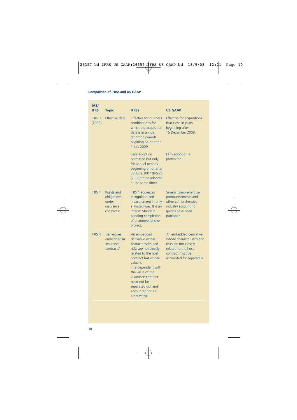| IAS/<br><b>IFRS</b>     | <b>Topic</b>                                                                     | <b>IFRSs</b>                                                                                                                                                                                                                                                                       | <b>US GAAP</b>                                                                                                                                       |
|-------------------------|----------------------------------------------------------------------------------|------------------------------------------------------------------------------------------------------------------------------------------------------------------------------------------------------------------------------------------------------------------------------------|------------------------------------------------------------------------------------------------------------------------------------------------------|
| <b>IFRS 3</b><br>(2008) | Effective date                                                                   | <b>Effective for business</b><br>combinations for<br>which the acquisition<br>date is in annual<br>reporting periods<br>begining on or after<br>1 July 2009.                                                                                                                       | <b>Effective for acquisitions</b><br>that close in years<br>beginning after<br>15 December 2008.                                                     |
|                         |                                                                                  | Early adoption<br>permitted but only<br>for annual periods<br>beginning on or after<br>30 June 2007 (IAS 27<br>(2008) to be adopted<br>at the same time).                                                                                                                          | Early adoption is<br>prohibited.                                                                                                                     |
| <b>IFRS 4</b>           | <b>Rights and</b><br>obligations<br>under<br>insurance<br>contracts <sup>1</sup> | <b>IFRS 4 addresses</b><br>recognition and<br>measurement in only<br>a limited way. It is an<br>interim Standard<br>pending completion<br>of a comprehensive<br>project.                                                                                                           | Several comprehensive<br>pronouncements and<br>other comprehensive<br>industry accounting<br>quides have been<br>published.                          |
| <b>IFRS 4</b>           | <b>Derivatives</b><br>embedded in<br>insurance<br>contracts <sup>1</sup>         | An embedded<br>derivative whose<br>characteristics and<br>risks are not closely<br>related to the host<br>contract but whose<br>value is<br>interdependent with<br>the value of the<br>insurance contract<br>need not be<br>separated out and<br>accounted for as<br>a derivative. | An embedded derivative<br>whose characteristics and<br>risks are not closely<br>related to the host<br>contract must be<br>accounted for separately. |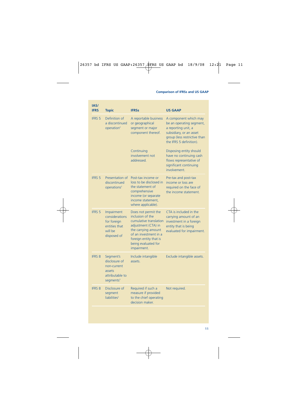| IAS/<br><b>IFRS</b> | <b>Topic</b>                                                                                    | <b>IFRSs</b>                                                                                                                                                                                             | <b>US GAAP</b>                                                                                                                                                 |
|---------------------|-------------------------------------------------------------------------------------------------|----------------------------------------------------------------------------------------------------------------------------------------------------------------------------------------------------------|----------------------------------------------------------------------------------------------------------------------------------------------------------------|
| <b>IFRS 5</b>       | Definition of<br>a discontinued<br>operation <sup>2</sup>                                       | A reportable business<br>or geographical<br>segment or major<br>component thereof.                                                                                                                       | A component which may<br>be an operating segment,<br>a reporting unit, a<br>subsidiary, or an asset<br>group (less restrictive than<br>the IFRS 5 definition). |
|                     |                                                                                                 | Continuing<br>involvement not<br>hezzenbbs                                                                                                                                                               | Disposing entity should<br>have no continuing cash<br>flows representative of<br>significant continuing<br>involvement.                                        |
| <b>IFRS 5</b>       | Presentation of<br>discontinued<br>operations <sup>2</sup>                                      | Post-tax income or<br>loss to be disclosed in<br>the statement of<br>comprehensive<br>income (or separate<br>income statement,<br>where applicable).                                                     | Pre-tax and post-tax<br>income or loss are<br>required on the face of<br>the income statement.                                                                 |
| <b>IFRS 5</b>       | Impairment<br>considerations<br>for foreign<br>entities that<br>will be<br>disposed of          | Does not permit the<br>inclusion of the<br>cumulative translation<br>adjustment (CTA) in<br>the carrying amount<br>of an investment in a<br>foreign entity that is<br>being evaluated for<br>impairment. | CTA is included in the<br>carrying amount of an<br>investment in a foreign<br>entity that is being<br>evaluated for impairment.                                |
| <b>IFRS 8</b>       | Segment's<br>disclosure of<br>non-current<br>assets<br>attributable to<br>segments <sup>3</sup> | Include intangible<br>assets.                                                                                                                                                                            | Exclude intangible assets.                                                                                                                                     |
| <b>IFRS 8</b>       | Disclosure of<br>segment<br>liabilities <sup>3</sup>                                            | Required if such a<br>measure if provided<br>to the chief operating<br>decision maker.                                                                                                                   | Not required.                                                                                                                                                  |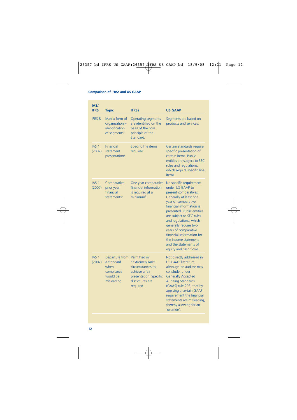| IAS/<br><b>IFRS</b>        | <b>Topic</b>                                                                   | <b>IFRSs</b>                                                                                                                     | <b>US GAAP</b>                                                                                                                                                                                                                                                                                                                                                                                 |
|----------------------------|--------------------------------------------------------------------------------|----------------------------------------------------------------------------------------------------------------------------------|------------------------------------------------------------------------------------------------------------------------------------------------------------------------------------------------------------------------------------------------------------------------------------------------------------------------------------------------------------------------------------------------|
| <b>IFRS 8</b>              | Matrix form of<br>organisation -<br>identification<br>of seaments <sup>3</sup> | <b>Operating segments</b><br>are identified on the<br>basis of the core<br>principle of the<br>Standard.                         | Segments are based on<br>products and services.                                                                                                                                                                                                                                                                                                                                                |
| IAS <sub>1</sub><br>(2007) | <b>Financial</b><br>statement<br>presentation <sup>4</sup>                     | Specific line items<br>required.                                                                                                 | Certain standards require<br>specific presentation of<br>certain items. Public<br>entities are subject to SEC<br>rules and regulations,<br>which require specific line<br>items.                                                                                                                                                                                                               |
| IAS <sub>1</sub><br>(2007) | Comparative<br>prior year<br>financial<br>statements <sup>4</sup>              | One year comparative<br>financial information<br>is required at a<br>minimum <sup>5</sup> .                                      | No specific requirement<br>under US GAAP to<br>present comparatives.<br>Generally at least one<br>year of comparative<br>financial information is<br>presented. Public entities<br>are subject to SEC rules<br>and regulations, which<br>generally require two<br>years of comparative<br>financial information for<br>the income statement<br>and the statements of<br>equity and cash flows. |
| IAS <sub>1</sub><br>(2007) | Departure from<br>a standard<br>when<br>compliance<br>would be<br>misleading   | Permitted in<br>"extremely rare"<br>circumstances to<br>achieve a fair<br>presentation. Specific<br>disclosures are<br>required. | Not directly addressed in<br>US GAAP literature,<br>although an auditor may<br>conclude, under<br><b>Generally Accepted</b><br><b>Auditing Standards</b><br>(GAAS) rule 203, that by<br>applying a certain GAAP<br>requirement the financial<br>statements are misleading,<br>thereby allowing for an<br>'override'.                                                                           |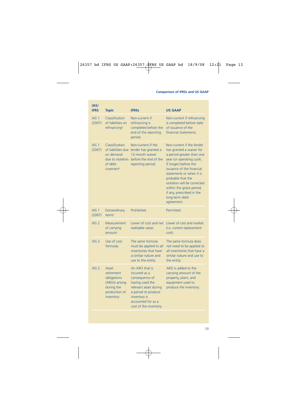| IAS/<br><b>IFRS</b>        | <b>Topic</b>                                                                                              | <b>IFRSs</b>                                                                                                                                                                         | <b>US GAAP</b>                                                                                                                                                                                                                                                                                                                                 |
|----------------------------|-----------------------------------------------------------------------------------------------------------|--------------------------------------------------------------------------------------------------------------------------------------------------------------------------------------|------------------------------------------------------------------------------------------------------------------------------------------------------------------------------------------------------------------------------------------------------------------------------------------------------------------------------------------------|
| IAS <sub>1</sub><br>(2007) | Classification<br>of liabilities on<br>refinancing <sup>4</sup>                                           | Non-current if<br>refinancing is<br>completed before the<br>end of the reporting<br>period.                                                                                          | Non-current if refinancing<br>is completed before date<br>of issuance of the<br>financial statements.                                                                                                                                                                                                                                          |
| IAS <sub>1</sub><br>(2007) | Classification<br>of liabilities due<br>on demand<br>due to violation<br>of debt<br>covenant <sup>4</sup> | Non-current if the<br>lender has granted a<br>12-month waiver<br>before the end of the<br>reporting period.                                                                          | Non-current if the lender<br>has granted a waiver for<br>a period greater than one<br>year (or operating cycle,<br>if longer) before the<br>issuance of the financial<br>statements or when it is<br>probable that the<br>violation will be corrected<br>within the grace period,<br>if any, prescribed in the<br>long-term debt<br>agreement. |
| IAS <sub>1</sub><br>(2007) | Extraordinary<br>items <sup>4</sup>                                                                       | Prohibited.                                                                                                                                                                          | Permitted.                                                                                                                                                                                                                                                                                                                                     |
| IAS <sub>2</sub>           | Measurement<br>of carrying<br>amount                                                                      | Lower of cost and net<br>realisable value.                                                                                                                                           | Lower of cost and market<br>(i.e. current replacement<br>cost).                                                                                                                                                                                                                                                                                |
| IAS <sub>2</sub>           | Use of cost<br>formulas                                                                                   | The same formula<br>must be applied to all<br>inventories that have<br>a similar nature and<br>use to the entity.                                                                    | The same formula does<br>not need to be applied to<br>all inventories that have a<br>similar nature and use to<br>the entity.                                                                                                                                                                                                                  |
| IAS <sub>2</sub>           | Asset<br>retirement<br>obligations<br>(AROs) arising<br>during the<br>production of<br>inventory          | An ARO that is<br>incurred as a<br>consequence of<br>having used the<br>relevant asset during<br>a period to produce<br>inventory is<br>accounted for as a<br>cost of the inventory. | ARO is added to the<br>carrying amount of the<br>property, plant, and<br>equipment used to<br>produce the inventory.                                                                                                                                                                                                                           |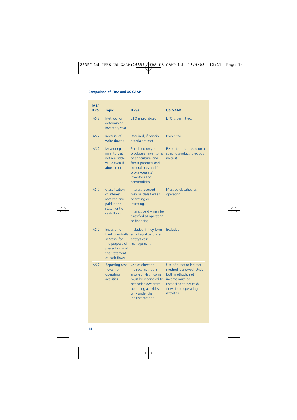| IAS/<br><b>IFRS</b> | <b>Topic</b>                                                                                                            | <b>IFRSs</b>                                                                                                                                                                | <b>US GAAP</b>                                                                                                                                                |
|---------------------|-------------------------------------------------------------------------------------------------------------------------|-----------------------------------------------------------------------------------------------------------------------------------------------------------------------------|---------------------------------------------------------------------------------------------------------------------------------------------------------------|
| IAS <sub>2</sub>    | Method for<br>determining<br>inventory cost                                                                             | LIFO is prohibited.                                                                                                                                                         | LIFO is permitted.                                                                                                                                            |
| IAS <sub>2</sub>    | Reversal of<br>write-downs                                                                                              | Required, if certain<br>criteria are met.                                                                                                                                   | Prohibited.                                                                                                                                                   |
| IAS <sub>2</sub>    | Measuring<br>inventory at<br>net realisable<br>value even if<br>above cost                                              | Permitted only for<br>producers' inventories<br>of agricultural and<br>forest products and<br>mineral ores and for<br>hroker-dealers'<br>inventories of<br>commodities      | Permitted, but based on a<br>specific product (precious<br>metals).                                                                                           |
| <b>IAS 7</b>        | Classification<br>of interest<br>received and<br>paid in the<br>statement of<br>cash flows                              | Interest received -<br>may be classified as<br>operating or<br>investing.<br>Interest paid - may be<br>classified as operating<br>or financing.                             | Must be classified as<br>operating.                                                                                                                           |
| IAS <sub>7</sub>    | Inclusion of<br>bank overdrafts<br>in 'cash' for<br>the purpose of<br>presentation of<br>the statement<br>of cash flows | Included if they form<br>an integral part of an<br>entity's cash<br>management.                                                                                             | Excluded.                                                                                                                                                     |
| IAS <sub>7</sub>    | Reporting cash<br>flows from<br>operating<br><b>activities</b>                                                          | Use of direct or<br>indirect method is<br>allowed. Net income<br>must be reconciled to<br>net cash flows from<br>operating activities<br>only under the<br>indirect method. | Use of direct or indirect<br>method is allowed. Under<br>both methods, net<br>income must be<br>reconciled to net cash<br>flows from operating<br>activities. |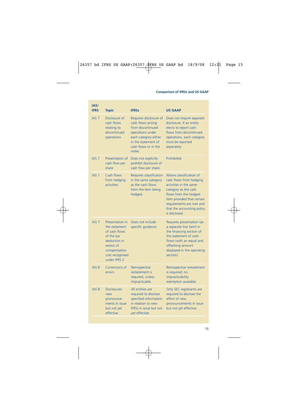| IAS/<br><b>IFRS</b> | <b>Topic</b>                                                                                                                                    | <b>IFRSs</b>                                                                                                                                                           | <b>US GAAP</b>                                                                                                                                                                                                                          |
|---------------------|-------------------------------------------------------------------------------------------------------------------------------------------------|------------------------------------------------------------------------------------------------------------------------------------------------------------------------|-----------------------------------------------------------------------------------------------------------------------------------------------------------------------------------------------------------------------------------------|
| <b>IAS 7</b>        | Disclosure of<br>cash flows<br>relating to<br>discontinued<br>operations                                                                        | Requires disclosure of<br>cash flows arising<br>from discontinued<br>operations under<br>each category either<br>in the statement of<br>cash flows or in the<br>notes. | Does not require separate<br>disclosure. If an entity<br>elects to report cash<br>flows from discontinued<br>operations, each category<br>must be reported<br>separately.                                                               |
| <b>IAS 7</b>        | Presentation of<br>cash flow per<br>share                                                                                                       | Does not explicitly<br>prohibit disclosure of<br>cash flow per share.                                                                                                  | Prohibited.                                                                                                                                                                                                                             |
| <b>IAS 7</b>        | Cash flows<br>from hedging<br><i>activities</i>                                                                                                 | <b>Requires classification</b><br>in the same category<br>as the cash flows<br>from the item being<br>hedged.                                                          | Allows classification of<br>cash flows from hedging<br>activities in the same<br>category as the cash<br>flows from the hedged<br>item provided that certain<br>requirements are met and<br>that the accounting policy<br>is disclosed. |
| <b>IAS 7</b>        | Presentation in<br>the statement<br>of cash flows<br>of the tax<br>deduction in<br>excess of<br>compensation<br>cost recognised<br>under IFRS 2 | Does not include<br>specific quidance.                                                                                                                                 | Requires presentation (as<br>a separate line item) in<br>the financing section of<br>the statement of cash<br>flows (with an equal and<br>offsetting amount<br>displayed in the operating<br>section).                                  |
| <b>IAS 8</b>        | Corrections of<br>errors                                                                                                                        | Retrospective<br>restatement is<br>required, unless<br>impracticable.                                                                                                  | Retrospective restatement<br>is required; no<br>impracticability<br>exemption available.                                                                                                                                                |
| <b>IAS 8</b>        | Disclosures:<br>new<br>pronounce-<br>ments in issue<br>but not yet<br>effective                                                                 | All entities are<br>required to disclose<br>specified information<br>in relation to new<br><b>IFRSs in issue but not</b><br>yet effective.                             | Only SEC registrants are<br>required to disclose the<br>effect of new<br>pronouncements in issue<br>but not yet effective.                                                                                                              |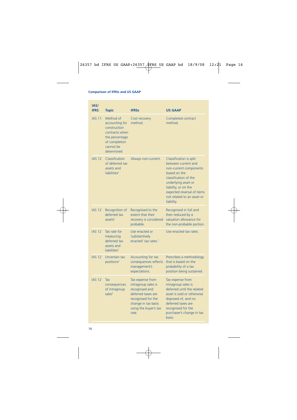| IAS/<br><b>IFRS</b> | <b>Topic</b>                                                                                                                | <b>IFRSs</b>                                                                                                                                                   | <b>US GAAP</b>                                                                                                                                                                                                                             |
|---------------------|-----------------------------------------------------------------------------------------------------------------------------|----------------------------------------------------------------------------------------------------------------------------------------------------------------|--------------------------------------------------------------------------------------------------------------------------------------------------------------------------------------------------------------------------------------------|
| <b>IAS 11</b>       | Method of<br>accounting for<br>construction<br>contracts when<br>the percentage<br>of completion<br>cannot be<br>determined | Cost recovery<br>method.                                                                                                                                       | Completed contract<br>method                                                                                                                                                                                                               |
| <b>IAS 12</b>       | Classification<br>of deferred tax<br>assets and<br>liabilities <sup>6</sup>                                                 | Always non-current.                                                                                                                                            | Classification is split<br>between current and<br>non-current components<br>based on the<br>classification of the<br>underlying asset or<br>liability, or on the<br>expected reversal of items<br>not related to an asset or<br>liability. |
| <b>IAS 12</b>       | Recognition of<br>deferred tax<br>ascets <sup>6</sup>                                                                       | Recognised to the<br>extent that their<br>recovery is considered<br>probable.                                                                                  | Recognised in full and<br>then reduced by a<br>valuation allowance for<br>the non-probable portion.                                                                                                                                        |
| <b>IAS 12</b>       | Tax rate for<br>measuring<br>deferred tax<br>assets and<br>liabilities <sup>6</sup>                                         | Use enacted or<br>'substantively<br>enacted' tax rates. <sup>7</sup>                                                                                           | Use enacted tax rates.                                                                                                                                                                                                                     |
| <b>IAS 12</b>       | Uncertain tax<br>positions <sup>6</sup>                                                                                     | Accounting for tax<br>consequences reflects<br>management's<br>expectations.                                                                                   | Prescribes a methodology<br>that is based on the<br>probability of a tax<br>position being sustained.                                                                                                                                      |
| <b>IAS 12</b>       | Tax<br>consequences<br>of intragroup<br>sales <sup>6</sup>                                                                  | Tax expense from<br>intragroup sales is<br>recognised and<br>deferred taxes are<br>recognised for the<br>change in tax basis<br>using the buyer's tax<br>rate. | Tax expense from<br>intragroup sales is<br>deferred until the related<br>asset is sold or otherwise<br>disposed of, and no<br>deferred taxes are<br>recognised for the<br>purchaser's change in tax<br>basis.                              |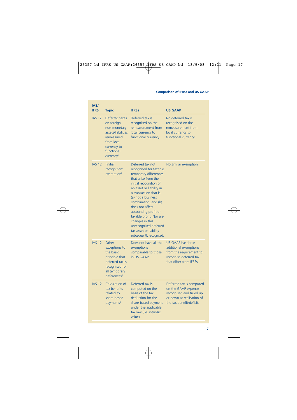| IAS/<br><b>IFRS</b> | <b>Topic</b>                                                                                                                                         | <b>IFRSs</b>                                                                                                                                                                                                                                                                                                                                                                                    | <b>US GAAP</b>                                                                                                                      |
|---------------------|------------------------------------------------------------------------------------------------------------------------------------------------------|-------------------------------------------------------------------------------------------------------------------------------------------------------------------------------------------------------------------------------------------------------------------------------------------------------------------------------------------------------------------------------------------------|-------------------------------------------------------------------------------------------------------------------------------------|
| <b>IAS 12</b>       | Deferred taxes<br>on foreign<br>non-monetary<br>assets/liabilities<br>remeasured<br>from local<br>currency to<br>functional<br>currency <sup>6</sup> | Deferred tax is<br>recognised on the<br>remeasurement from<br>local currency to<br>functional currency.                                                                                                                                                                                                                                                                                         | No deferred tax is<br>recognised on the<br>remeasurement from<br>local currency to<br>functional currency.                          |
| <b>IAS 12</b>       | 'Initial<br>recognition'<br>exemption <sup>6</sup>                                                                                                   | Deferred tax not<br>recognised for taxable<br>temporary differences<br>that arise from the<br>initial recognition of<br>an asset or liability in<br>a transaction that is<br>(a) not a business<br>combination, and (b)<br>does not affect<br>accounting profit or<br>taxable profit. Nor are<br>changes in this<br>unrecognised deferred<br>tax asset or liability<br>subsequently recognised. | No similar exemption.                                                                                                               |
| <b>IAS 12</b>       | Other<br>exceptions to<br>the basic<br>principle that<br>deferred tax is<br>recognised for<br>all temporary<br>differences <sup>6</sup>              | Does not have all the<br>exemptions<br>comparable to those<br>in US GAAP.                                                                                                                                                                                                                                                                                                                       | <b>US GAAP has three</b><br>additional exemptions<br>from the requirement to<br>recognise deferred tax<br>that differ from IFRSs.   |
| <b>IAS 12</b>       | Calculation of<br>tax benefits<br>related to<br>share-based<br>payments <sup>6</sup>                                                                 | Deferred tax is<br>computed on the<br>basis of the tax<br>deduction for the<br>share-based payment<br>under the applicable<br>tax law (i.e. intrinsic<br>value).                                                                                                                                                                                                                                | Deferred tax is computed<br>on the GAAP expense<br>recognised and trued up<br>or down at realisation of<br>the tax benefit/deficit. |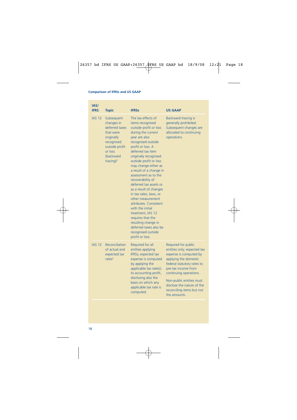| IAS/<br><b>IFRS</b> | <b>Topic</b>                                                                                                                                           | <b>IFRSs</b>                                                                                                                                                                                                                                                                                                                                                                                                                                                                                                                                                                                                    | <b>US GAAP</b>                                                                                                                                                                                                                                                                              |
|---------------------|--------------------------------------------------------------------------------------------------------------------------------------------------------|-----------------------------------------------------------------------------------------------------------------------------------------------------------------------------------------------------------------------------------------------------------------------------------------------------------------------------------------------------------------------------------------------------------------------------------------------------------------------------------------------------------------------------------------------------------------------------------------------------------------|---------------------------------------------------------------------------------------------------------------------------------------------------------------------------------------------------------------------------------------------------------------------------------------------|
| <b>IAS 12</b>       | Subsequent<br>changes in<br>deferred taxes<br>that were<br>originally<br>recognised<br>outside profit<br>or loss<br>(backward<br>tracing) <sup>6</sup> | The tax effects of<br>items recognised<br>outside profit or loss<br>during the current<br>year are also<br>recognised outside<br>profit or loss. A<br>deferred tax item<br>originally recognised<br>outside profit or loss<br>may change either as<br>a result of a change in<br>assessment as to the<br>recoverability of<br>deferred tax assets or<br>as a result of changes<br>in tax rates, laws, or<br>other measurement<br>attributes. Consistent<br>with the initial<br>treatment. IAS 12<br>requires that the<br>resulting change in<br>deferred taxes also be<br>recognised outside<br>profit or loss. | Backward tracing is<br>generally prohibited.<br>Subsequent changes are<br>allocated to continuing<br>operations.                                                                                                                                                                            |
| <b>IAS 12</b>       | Reconciliation<br>of actual and<br>expected tax<br>rates <sup>6</sup>                                                                                  | Required for all<br>entities applying<br>IFRSs; expected tax<br>expense is computed<br>by applying the<br>applicable tax rate(s)<br>to accounting profit,<br>disclosing also the<br>basis on which any<br>applicable tax rate is<br>computed.                                                                                                                                                                                                                                                                                                                                                                   | Required for public<br>entities only; expected tax<br>expense is computed by<br>applying the domestic<br>federal statutory rates to<br>pre-tax income from<br>continuing operations.<br>Non-public entities must<br>disclose the nature of the<br>reconciling items but not<br>the amounts. |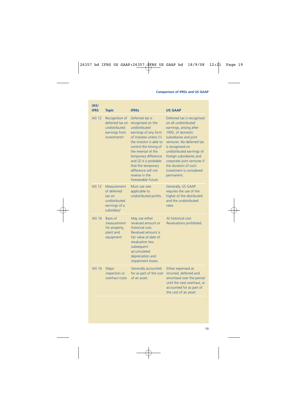| IAS/<br><b>IFRS</b> | <b>Topic</b>                                                                                      | <b>IFRSs</b>                                                                                                                                                                                                                                                                                                               | <b>US GAAP</b>                                                                                                                                                                                                                                                                                                                          |
|---------------------|---------------------------------------------------------------------------------------------------|----------------------------------------------------------------------------------------------------------------------------------------------------------------------------------------------------------------------------------------------------------------------------------------------------------------------------|-----------------------------------------------------------------------------------------------------------------------------------------------------------------------------------------------------------------------------------------------------------------------------------------------------------------------------------------|
| <b>IAS 12</b>       | Recognition of<br>deferred tax on<br>undistributed<br>earnings from<br>investments <sup>6</sup>   | Deferred tax is<br>recognised on the<br>undistributed<br>earnings of any form<br>of investee unless (1)<br>the investor is able to<br>control the timing of<br>the reversal of the<br>temporary difference<br>and (2) it is probable<br>that the temporary<br>difference will not<br>reverse in the<br>foreseeable future. | Deferred tax is recognised<br>on all undistributed<br>earnings, arising after<br>1992, of domestic<br>subsidiaries and joint<br>ventures. No deferred tax<br>is recognised on<br>undistributed earnings of<br>foreign subsidiaries and<br>corporate joint ventures if<br>the duration of such<br>investment is considered<br>permanent. |
| <b>IAS 12</b>       | Measurement<br>of deferred<br>tax on<br>undistributed<br>earnings of a<br>subsidiary <sup>6</sup> | Must use rate<br>applicable to<br>undistributed profits.                                                                                                                                                                                                                                                                   | Generally, US GAAP<br>requires the use of the<br>higher of the distributed<br>and the undistributed<br>rates                                                                                                                                                                                                                            |
| <b>IAS 16</b>       | <b>Basis of</b><br>measurement<br>for property,<br>plant and<br>equipment                         | May use either<br>revalued amount or<br>historical cost.<br>Revalued amount is<br>fair value at date of<br>revaluation less<br>subsequent<br>accumulated<br>depreciation and<br>impairment losses.                                                                                                                         | At historical cost.<br>Revaluations prohibited.                                                                                                                                                                                                                                                                                         |
| <b>IAS 16</b>       | Major<br>inspection or<br>overhaul costs                                                          | <b>Generally accounted</b><br>for as part of the cost<br>of an asset.                                                                                                                                                                                                                                                      | Either expensed as<br>incurred, deferred and<br>amortised over the period<br>until the next overhaul, or<br>accounted for as part of<br>the cost of an asset.                                                                                                                                                                           |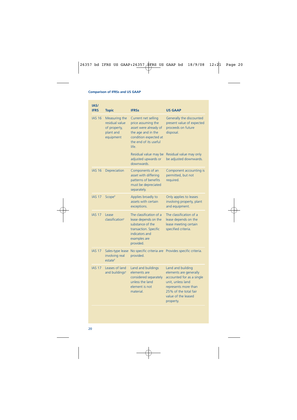| IAS/<br><b>IFRS</b> | <b>Topic</b>                                                              | <b>IFRSs</b>                                                                                                                                        | <b>US GAAP</b>                                                                                                                                                                     |
|---------------------|---------------------------------------------------------------------------|-----------------------------------------------------------------------------------------------------------------------------------------------------|------------------------------------------------------------------------------------------------------------------------------------------------------------------------------------|
| <b>IAS 16</b>       | Measuring the<br>residual value<br>of property,<br>plant and<br>equipment | Current net selling<br>price assuming the<br>asset were already of<br>the age and in the<br>condition expected at<br>the end of its useful<br>life. | Generally the discounted<br>present value of expected<br>proceeds on future<br>disposal.                                                                                           |
|                     |                                                                           | Residual value may be<br>adjusted upwards or<br>downwards.                                                                                          | Residual value may only<br>be adjusted downwards.                                                                                                                                  |
| <b>IAS 16</b>       | Depreciation                                                              | Components of an<br>asset with differing<br>patterns of benefits<br>must be depreciated<br>separately.                                              | Component accounting is<br>permitted, but not<br>required.                                                                                                                         |
| <b>IAS 17</b>       | Scope <sup>8</sup>                                                        | Applies broadly to<br>assets with certain<br>exceptions.                                                                                            | Only applies to leases<br>involving property, plant<br>and equipment.                                                                                                              |
| <b>IAS 17</b>       | Lease<br>classification <sup>8</sup>                                      | The classification of a<br>lease depends on the<br>substance of the<br>transaction. Specific<br>indicators and<br>examples are<br>provided.         | The classification of a<br>lease depends on the<br>lease meeting certain<br>specified criteria.                                                                                    |
| <b>IAS 17</b>       | Sales-type lease<br>involving real<br>estate <sup>8</sup>                 | provided.                                                                                                                                           | No specific criteria are Provides specific criteria.                                                                                                                               |
| <b>IAS 17</b>       | Leases of land<br>and buildings <sup>8</sup>                              | Land and buildings<br>elements are<br>considered separately<br>unless the land<br>element is not<br>material.                                       | Land and building<br>elements are generally<br>accounted for as a single<br>unit, unless land<br>represents more than<br>25% of the total fair<br>value of the leased<br>property. |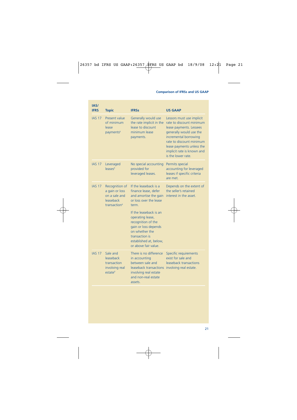| IAS/<br><b>IFRS</b> | <b>Topic</b>                                                                               | <b>IFRSs</b>                                                                                                                                                                   | <b>US GAAP</b>                                                                                                                                                                                                                                   |
|---------------------|--------------------------------------------------------------------------------------------|--------------------------------------------------------------------------------------------------------------------------------------------------------------------------------|--------------------------------------------------------------------------------------------------------------------------------------------------------------------------------------------------------------------------------------------------|
| <b>IAS 17</b>       | Present value<br>of minimum<br>lease<br>payments <sup>8</sup>                              | Generally would use<br>the rate implicit in the<br>lease to discount<br>minimum lease<br>payments.                                                                             | Lessors must use implicit<br>rate to discount minimum<br>lease payments. Lessees<br>generally would use the<br>incremental borrowing<br>rate to discount minimum<br>lease payments unless the<br>implicit rate is known and<br>is the lower rate |
| <b>IAS 17</b>       | Leveraged<br>leases <sup>8</sup>                                                           | No special accounting<br>provided for<br>leveraged leases.                                                                                                                     | Permits special<br>accounting for leveraged<br>leases if specific criteria<br>are met.                                                                                                                                                           |
| <b>IAS 17</b>       | Recognition of<br>a gain or loss<br>on a sale and<br>leaseback<br>transaction <sup>8</sup> | If the leaseback is a<br>finance lease, defer<br>and amortise the gain<br>or loss over the lease<br>term.                                                                      | Depends on the extent of<br>the seller's retained<br>interest in the asset.                                                                                                                                                                      |
|                     |                                                                                            | If the leaseback is an<br>operating lease,<br>recognition of the<br>gain or loss depends<br>on whether the<br>transaction is<br>established at, below,<br>or above fair value. |                                                                                                                                                                                                                                                  |
| <b>IAS 17</b>       | Sale and<br>leaseback<br>transaction<br>involving real<br>estate <sup>8</sup>              | There is no difference<br>in accounting<br>between sale and<br>leaseback transactions<br>involving real estate<br>and non-real estate<br>assets.                               | Specific requirements<br>exist for sale and<br>leaseback transactions<br>involving real estate.                                                                                                                                                  |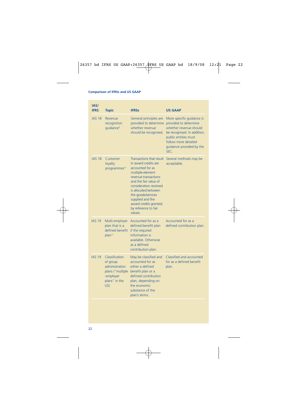| IAS/<br><b>IFRS</b> | <b>Topic</b>                                                                                          | <b>IFRSs</b>                                                                                                                                                                                                                                                                                       | <b>US GAAP</b>                                                                                                                                                                                  |
|---------------------|-------------------------------------------------------------------------------------------------------|----------------------------------------------------------------------------------------------------------------------------------------------------------------------------------------------------------------------------------------------------------------------------------------------------|-------------------------------------------------------------------------------------------------------------------------------------------------------------------------------------------------|
| <b>IAS 18</b>       | Revenue<br>recognition<br>quidance <sup>9</sup>                                                       | General principles are<br>provided to determine<br>whether revenue<br>should be recognised.                                                                                                                                                                                                        | More specific guidance is<br>provided to determine<br>whether revenue should<br>be recognised. In addition,<br>public entities must<br>follow more detailed<br>quidance provided by the<br>SEC. |
| <b>IAS 18</b>       | Customer<br>loyalty<br>programmes <sup>10</sup>                                                       | Transactions that result<br>in award credits are<br>accounted for as<br>multiple-element<br>revenue transactions<br>and the fair value of<br>consideration received<br>is allocated between<br>the goods/services<br>supplied and the<br>award credits granted,<br>by reference to fair<br>values. | Several methods may be<br>acceptable.                                                                                                                                                           |
| <b>IAS 19</b>       | Multi-employer<br>plan that is a<br>defined benefit<br>plan <sup>11</sup>                             | Accounted for as a<br>defined benefit plan<br>if the required<br>information is<br>available. Otherwise<br>as a defined<br>contribution plan.                                                                                                                                                      | Accounted for as a<br>defined contribution plan.                                                                                                                                                |
| <b>IAS 19</b>       | Classification<br>of group<br>administration<br>plans ("multiple<br>-employer<br>plans" in the<br>US) | May be classified and<br>accounted for as<br>either a defined<br>benefit plan or a<br>defined contribution<br>plan, depending on<br>the economic<br>substance of the<br>plan's terms.                                                                                                              | Classified and accounted<br>for as a defined benefit<br>plan.                                                                                                                                   |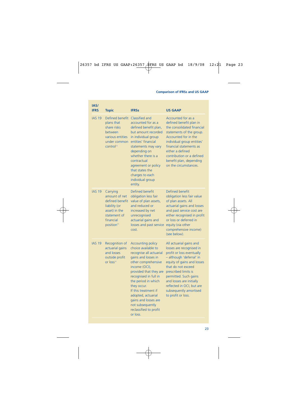| IAS/<br><b>IFRS</b> | <b>Topic</b>                                                                                                                          | <b>IFRSs</b>                                                                                                                                                                                                                                                                                                                                                       | <b>US GAAP</b>                                                                                                                                                                                                                                                                                                             |
|---------------------|---------------------------------------------------------------------------------------------------------------------------------------|--------------------------------------------------------------------------------------------------------------------------------------------------------------------------------------------------------------------------------------------------------------------------------------------------------------------------------------------------------------------|----------------------------------------------------------------------------------------------------------------------------------------------------------------------------------------------------------------------------------------------------------------------------------------------------------------------------|
| <b>IAS 19</b>       | Defined benefit<br>plans that<br>share risks<br>between<br>various entities<br>under common<br>control <sup>11</sup>                  | Classified and<br>accounted for as a<br>defined benefit plan,<br>but amount recorded<br>in individual group<br>entities' financial<br>statements may vary<br>depending on<br>whether there is a<br>contractual<br>agreement or policy<br>that states the<br>charges to each<br>individual group<br>entity.                                                         | Accounted for as a<br>defined benefit plan in<br>the consolidated financial<br>statements of the group.<br>Accounted for in the<br>individual group entities'<br>financial statements as<br>either a defined<br>contribution or a defined<br>benefit plan, depending<br>on the circumstances.                              |
| <b>IAS 19</b>       | Carrying<br>amount of net<br>defined benefit<br>liability (or<br>asset) in the<br>statement of<br>financial<br>position <sup>11</sup> | Defined benefit<br>obligation less fair<br>value of plan assets,<br>and reduced or<br>increased by net<br>unrecognised<br>actuarial gains and<br>losses and past service<br>cost.                                                                                                                                                                                  | Defined benefit<br>obligation less fair value<br>of plan assets. All<br>actuarial gains and losses<br>and past service cost are<br>either recognised in profit<br>or loss or deferred in<br>equity (via other<br>comprehensive income)<br>(see below).                                                                     |
| <b>IAS 19</b>       | Recognition of<br>actuarial gains<br>and losses<br>outside profit<br>or loss <sup>11</sup>                                            | <b>Accounting policy</b><br>choice available to<br>recognise all actuarial<br>gains and losses in<br>other comprehensive<br>income (OCI),<br>provided that they are<br>recognised in full in<br>the period in which<br>they occur.<br>If this treatment if<br>adopted, actuarial<br>gains and losses are<br>not subsequently<br>reclassified to profit<br>or loss. | All actuarial gains and<br>losses are recognised in<br>profit or loss eventually<br>- although 'deferral' in<br>equity of gains and losses<br>that do not exceed<br>prescribed limits is<br>permitted. Such gains<br>and losses are initially<br>reflected in OCI, but are<br>subsequently amortised<br>to profit or loss. |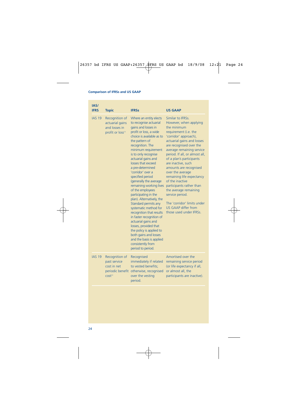| IAS/<br><b>IFRS</b> | <b>Topic</b>                                                                            | <b>IFRSs</b>                                                                                                                                                                                                                                                                                                                                                                                                                                                                                                                                                                                                                                                                                                                                    | <b>US GAAP</b>                                                                                                                                                                                                                                                                                                                                                                                                                                                                                                                                       |
|---------------------|-----------------------------------------------------------------------------------------|-------------------------------------------------------------------------------------------------------------------------------------------------------------------------------------------------------------------------------------------------------------------------------------------------------------------------------------------------------------------------------------------------------------------------------------------------------------------------------------------------------------------------------------------------------------------------------------------------------------------------------------------------------------------------------------------------------------------------------------------------|------------------------------------------------------------------------------------------------------------------------------------------------------------------------------------------------------------------------------------------------------------------------------------------------------------------------------------------------------------------------------------------------------------------------------------------------------------------------------------------------------------------------------------------------------|
| <b>IAS 19</b>       | Recognition of<br>actuarial gains<br>and losses in<br>profit or loss <sup>11</sup>      | Where an entity elects<br>to recognise actuarial<br>gains and losses in<br>profit or loss, a wide<br>choice is available as to<br>the pattern of<br>recognition. The<br>minimum requirement<br>is to only recognise<br>actuarial gains and<br>losses that exceed<br>a pre-determined<br>'corridor' over a<br>specified period<br>(generally the average<br>remaining working lives<br>of the employees<br>participating in the<br>plan). Alternatively, the<br>Standard permits any<br>systematic method for<br>recognition that results<br>in faster recognition of<br>actuarial gains and<br>losses, provided that<br>the policy is applied to<br>both gains and losses<br>and the basis is applied<br>consistently from<br>period to period. | Similar to IFRSs.<br>However, when applying<br>the minimum<br>requirement (i.e. the<br>'corridor' approach),<br>actuarial gains and losses<br>are recognised over the<br>average remaining service<br>period. If all, or almost all,<br>of a plan's participants<br>are inactive, such<br>amounts are recognised<br>over the average<br>remaining life expectancy<br>of the inactive<br>participants rather than<br>the average remaining<br>service period.<br>The 'corridor' limits under<br><b>US GAAP differ from</b><br>those used under IFRSs. |
| <b>IAS 19</b>       | Recognition of<br>past service<br>cost in net<br>periodic benefit<br>cost <sup>11</sup> | Recognised<br>immediately if related<br>to vested benefits;<br>otherwise, recognised<br>over the vesting<br>period.                                                                                                                                                                                                                                                                                                                                                                                                                                                                                                                                                                                                                             | Amortised over the<br>remaining service period<br>(or life expectancy if all,<br>or almost all, the<br>participants are inactive).                                                                                                                                                                                                                                                                                                                                                                                                                   |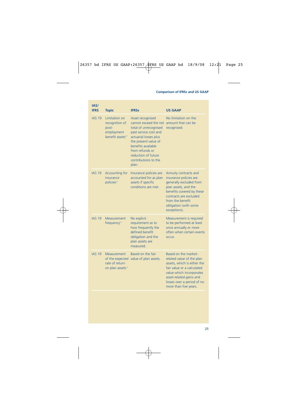| IAS/<br><b>IFRS</b> | <b>Topic</b>                                                                           | <b>IFRSs</b>                                                                                                                                                                                                                                  | <b>US GAAP</b>                                                                                                                                                                                                               |
|---------------------|----------------------------------------------------------------------------------------|-----------------------------------------------------------------------------------------------------------------------------------------------------------------------------------------------------------------------------------------------|------------------------------------------------------------------------------------------------------------------------------------------------------------------------------------------------------------------------------|
| <b>IAS 19</b>       | Limitation on<br>recognition of<br>post-<br>employment<br>benefit assets <sup>11</sup> | Asset recognised<br>cannot exceed the net<br>total of unrecognised<br>past service cost and<br>actuarial losses plus<br>the present value of<br>benefits available<br>from refunds or<br>reduction of future<br>contributions to the<br>plan. | No limitation on the<br>amount that can be<br>recognised.                                                                                                                                                                    |
| <b>IAS 19</b>       | <b>Accounting for</b><br>insurance<br>policies <sup>11</sup>                           | Insurance policies are<br>accounted for as plan<br>assets if specific<br>conditions are met.                                                                                                                                                  | Annuity contracts and<br>insurance policies are<br>generally excluded from<br>plan assets, and the<br>benefits covered by these<br>contracts are excluded<br>from the benefit<br>obligation (with some<br>exceptions).       |
| <b>IAS 19</b>       | Measurement<br>frequency <sup>11</sup>                                                 | No explicit<br>requirement as to<br>how frequently the<br>defined benefit<br>obligation and the<br>plan assets are<br>measured.                                                                                                               | Measurement is required<br>to be performed at least<br>once annually or more<br>often when certain events<br>occur.                                                                                                          |
| <b>IAS 19</b>       | <b>Measurement</b><br>rate of return<br>on plan assets <sup>11</sup>                   | Based on the fair<br>of the expected value of plan assets.                                                                                                                                                                                    | Based on the market-<br>related value of the plan<br>assets, which is either the<br>fair value or a calculated<br>value which incorporates<br>asset-related gains and<br>losses over a period of no<br>more than five years. |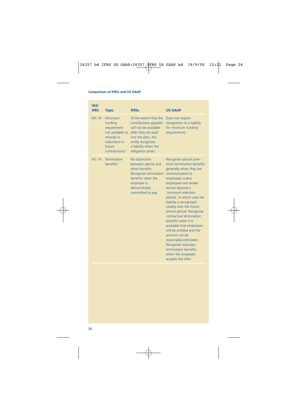| IAS/<br><b>IFRS</b> | <b>Topic</b>                                                                                                                  | <b>IFRSs</b>                                                                                                                                                                             | <b>US GAAP</b>                                                                                                                                                                                                                                                                                                                                                                                                                                                                                                                                           |
|---------------------|-------------------------------------------------------------------------------------------------------------------------------|------------------------------------------------------------------------------------------------------------------------------------------------------------------------------------------|----------------------------------------------------------------------------------------------------------------------------------------------------------------------------------------------------------------------------------------------------------------------------------------------------------------------------------------------------------------------------------------------------------------------------------------------------------------------------------------------------------------------------------------------------------|
| <b>IAS 19</b>       | Minimum<br>funding<br>requirement<br>not available as<br>refunds or<br>reductions in<br>future<br>contributions <sup>11</sup> | To the extent that the<br>contributions payable<br>will not be available<br>after they are paid<br>into the plan, the<br>entity recognises<br>a liability when the<br>obligation arises. | Does not require<br>recognition of a liability<br>for minimum funding<br>requirements.                                                                                                                                                                                                                                                                                                                                                                                                                                                                   |
| <b>IAS 19</b>       | Termination<br>benefits <sup>11</sup>                                                                                         | No distinction<br>between special and<br>other benefits.<br>Recognise termination<br>benefits when the<br>employer is<br>demonstrably<br>committed to pay.                               | Recognise special (one-<br>time) termination benefits<br>generally when they are<br>communicated to<br>employees unless<br>employees will render<br>service beyond a<br>'minimum retention<br>period', in which case the<br>liability is recognised<br>ratably over the future<br>service period. Recognise<br>contractual termination<br>benefits when it is<br>probable that employees<br>will be entitled and the<br>amount can be<br>reasonably estimated.<br>Recognise voluntary<br>termination benefits<br>when the employee<br>accepts the offer. |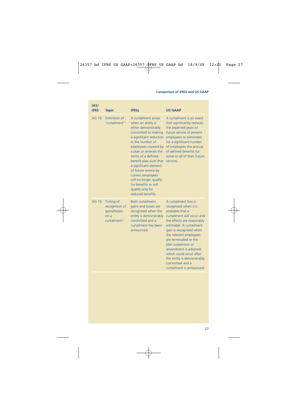| IAS/<br><b>IFRS</b> | <b>Topic</b>                                                                     | <b>IFRSs</b>                                                                                                                                                                                                                                                                                                                                                                                            | <b>US GAAP</b>                                                                                                                                                                                                                                                                                                                                                                                  |
|---------------------|----------------------------------------------------------------------------------|---------------------------------------------------------------------------------------------------------------------------------------------------------------------------------------------------------------------------------------------------------------------------------------------------------------------------------------------------------------------------------------------------------|-------------------------------------------------------------------------------------------------------------------------------------------------------------------------------------------------------------------------------------------------------------------------------------------------------------------------------------------------------------------------------------------------|
| <b>IAS 19</b>       | Definition of<br>'curtailment' <sup>11</sup>                                     | A curtailment arises<br>when an entity is<br>either demonstrably<br>committed to making<br>a significant reduction<br>in the number of<br>employees covered by<br>a plan or amends the<br>terms of a defined<br>benefit plan such that<br>a significant element<br>of future service by<br>current employees<br>will no longer qualify<br>for benefits or will<br>qualify only for<br>reduced benefits. | A curtailment is an event<br>that significantly reduces<br>the expected years of<br>future service of present<br>employees or eliminates<br>for a significant number<br>of employees the accrual<br>of defined benefits for<br>some or all of their future<br>services.                                                                                                                         |
| <b>IAS 19</b>       | Timing of<br>recognition of<br>gains/losses<br>on a<br>curtailment <sup>11</sup> | <b>Both curtailment</b><br>gains and losses are<br>recognised when the<br>entity is demonstrably<br>committed and a<br>curtailment has been<br>announced.                                                                                                                                                                                                                                               | A curtailment loss is<br>recognised when it is<br>probable that a<br>curtailment will occur and<br>the effects are reasonably<br>estimable. A curtailment<br>gain is recognised when<br>the relevant employees<br>are terminated or the<br>plan suspension or<br>amendment is adopted,<br>which could occur after<br>the entity is demonstrably<br>committed and a<br>curtailment is announced. |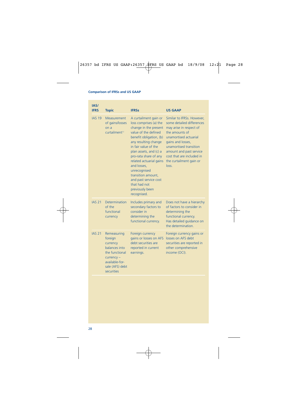| IAS/<br><b>IFRS</b> | <b>Topic</b>                                                                                                                            | <b>IFRSs</b>                                                                                                                                                                                                                                                                                                                                                                              | <b>US GAAP</b>                                                                                                                                                                                                                                                           |
|---------------------|-----------------------------------------------------------------------------------------------------------------------------------------|-------------------------------------------------------------------------------------------------------------------------------------------------------------------------------------------------------------------------------------------------------------------------------------------------------------------------------------------------------------------------------------------|--------------------------------------------------------------------------------------------------------------------------------------------------------------------------------------------------------------------------------------------------------------------------|
| <b>IAS 19</b>       | Measurement<br>of gains/losses<br>on a<br>curtailment <sup>11</sup>                                                                     | A curtailment gain or<br>loss comprises (a) the<br>change in the present<br>value of the defined<br>benefit obligation. (b)<br>any resulting change<br>in fair value of the<br>plan assets, and (c) a<br>pro-rata share of any<br>related actuarial gains<br>and losses,<br>unrecognised<br>transition amount,<br>and past service cost<br>that had not<br>previously been<br>recognised. | Similar to IFRSs. However,<br>some detailed differences<br>may arise in respect of<br>the amounts of<br>unamortised actuarial<br>gains and losses,<br>unamortised transition<br>amount and past service<br>cost that are included in<br>the curtailment gain or<br>loss. |
| <b>IAS 21</b>       | Determination<br>of the<br>functional<br>currency                                                                                       | Includes primary and<br>secondary factors to<br>consider in<br>determining the<br>functional currency.                                                                                                                                                                                                                                                                                    | Does not have a hierarchy<br>of factors to consider in<br>determining the<br>functional currency.<br>Has detailed quidance on<br>the determination.                                                                                                                      |
| <b>IAS 21</b>       | Remeasuring<br>foreign<br>currency<br>balances into<br>the functional<br>$curve < -$<br>available-for-<br>sale (AFS) debt<br>securities | Foreign currency<br>gains or losses on AFS<br>debt securities are<br>reported in current<br>earnings.                                                                                                                                                                                                                                                                                     | Foreign currency gains or<br>losses on AFS debt<br>securities are reported in<br>other comprehensive<br>income (OCI).                                                                                                                                                    |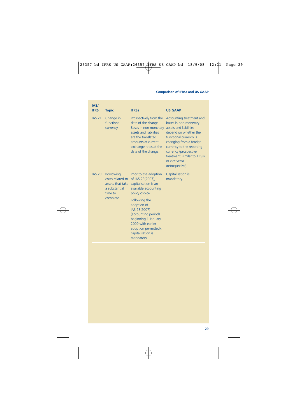| IAS/<br><b>IFRS</b> | <b>Topic</b>                                                                                     | <b>IFRSs</b>                                                                                                                                                                                                                                                                              | <b>US GAAP</b>                                                                                                                                                                                                                                                                       |
|---------------------|--------------------------------------------------------------------------------------------------|-------------------------------------------------------------------------------------------------------------------------------------------------------------------------------------------------------------------------------------------------------------------------------------------|--------------------------------------------------------------------------------------------------------------------------------------------------------------------------------------------------------------------------------------------------------------------------------------|
| <b>IAS 21</b>       | Change in<br>functional<br>currency                                                              | Prospectively from the<br>date of the change.<br>Bases in non-monetary<br>assets and liabilities<br>are the translated<br>amounts at current<br>exchange rates at the<br>date of the change.                                                                                              | Accounting treatment and<br>bases in non-monetary<br>assets and liabilities<br>depend on whether the<br>functional currency is<br>changing from a foreign<br>currency to the reporting<br>currency (prospective<br>treatment, similar to IFRSs)<br>or vice versa<br>(retrospective). |
| <b>IAS 23</b>       | <b>Borrowing</b><br>costs related to<br>assets that take<br>a substantial<br>time to<br>complete | Prior to the adoption<br>of IAS 23(2007),<br>capitalisation is an<br>available accounting<br>policy choice.<br>Following the<br>adoption of<br>IAS 23(2007)<br>(accounting periods<br>beginning 1 January<br>2009 with earlier<br>adoption permitted),<br>capitalisation is<br>mandatory. | Capitalisation is<br>mandatory.                                                                                                                                                                                                                                                      |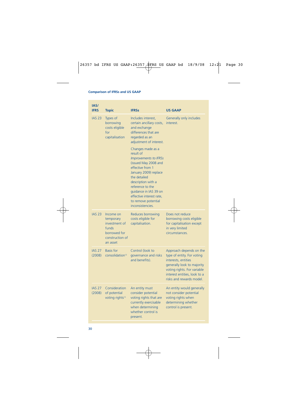| IAS/<br><b>IFRS</b>     | <b>Topic</b>                                                                                    | <b>IFRSs</b>                                                                                                                                                                                                                                                                                  | <b>US GAAP</b>                                                                                                                                                                                        |
|-------------------------|-------------------------------------------------------------------------------------------------|-----------------------------------------------------------------------------------------------------------------------------------------------------------------------------------------------------------------------------------------------------------------------------------------------|-------------------------------------------------------------------------------------------------------------------------------------------------------------------------------------------------------|
| <b>IAS 23</b>           | Types of<br>borrowing<br>costs eligible<br>for<br>capitalisation                                | Includes interest,<br>certain ancillary costs,<br>and exchange<br>differences that are<br>regarded as an<br>adjustment of interest.                                                                                                                                                           | Generally only includes<br>interest.                                                                                                                                                                  |
|                         |                                                                                                 | Changes made as a<br>result of<br><b>Improvements to IFRSs</b><br>(issued May 2008 and<br>effective from 1<br>January 2009) replace<br>the detailed<br>description with a<br>reference to the<br>quidance in IAS 39 on<br>effective interest rate,<br>to remove potential<br>inconsistencies. |                                                                                                                                                                                                       |
| <b>IAS 23</b>           | Income on<br>temporary<br>investment of<br>funds<br>borrowed for<br>construction of<br>an asset | Reduces borrowing<br>costs eligible for<br>capitalisation.                                                                                                                                                                                                                                    | Does not reduce<br>borrowing costs eligible<br>for capitalisation except<br>in very limited<br>circumstances.                                                                                         |
| <b>IAS 27</b><br>(2008) | <b>Basis for</b><br>consolidation <sup>12</sup>                                                 | Control (look to<br>governance and risks<br>and benefits).                                                                                                                                                                                                                                    | Approach depends on the<br>type of entity. For voting<br>interests, entities<br>generally look to majority<br>voting rights. For variable<br>interest entities, look to a<br>risks and rewards model. |
| <b>IAS 27</b><br>(2008) | Consideration<br>of potential<br>voting rights <sup>12</sup>                                    | An entity must<br>consider potential<br>voting rights that are<br>currently exercisable<br>when determining<br>whether control is<br>present.                                                                                                                                                 | An entity would generally<br>not consider potential<br>voting rights when<br>determining whether<br>control is present.                                                                               |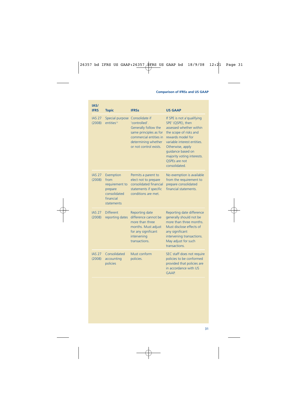| IAS/<br><b>IFRS</b>     | <b>Topic</b>                                                                              | <b>IFRSs</b>                                                                                                                                                 | <b>US GAAP</b>                                                                                                                                                                                                                                                    |
|-------------------------|-------------------------------------------------------------------------------------------|--------------------------------------------------------------------------------------------------------------------------------------------------------------|-------------------------------------------------------------------------------------------------------------------------------------------------------------------------------------------------------------------------------------------------------------------|
| <b>IAS 27</b><br>(2008) | Special purpose<br>entities <sup>12</sup>                                                 | Consolidate if<br>'controlled'.<br>Generally follow the<br>same principles as for<br>commercial entities in<br>determining whether<br>or not control exists. | If SPE is not a'qualifying<br>SPE' (QSPE), then<br>assessed whether within<br>the scope of risks and<br>rewards model for<br>variable interest entities.<br>Otherwise, apply<br>quidance based on<br>majority voting interests.<br>QSPEs are not<br>consolidated. |
| <b>IAS 27</b><br>(2008) | Exemption<br>from<br>requirement to<br>prepare<br>consolidated<br>financial<br>statements | Permits a parent to<br>elect not to prepare<br>consolidated financial<br>statements if specific<br>conditions are met.                                       | No exemption is available<br>from the requirement to<br>prepare consolidated<br>financial statements.                                                                                                                                                             |
| <b>IAS 27</b><br>(2008) | <b>Different</b><br>reporting dates                                                       | Reporting date<br>difference cannot be<br>more than three<br>months. Must adjust<br>for any significant<br>intervening<br>transactions.                      | Reporting date difference<br>generally should not be<br>more than three months.<br>Must disclose effects of<br>any significant<br>intervening transactions.<br>May adjust for such<br>transactions.                                                               |
| <b>IAS 27</b><br>(2008) | Consolidated<br>accounting<br>policies                                                    | Must conform<br>policies.                                                                                                                                    | SEC staff does not require<br>policies to be conformed<br>provided that policies are<br>in accordance with US<br>GAAP.                                                                                                                                            |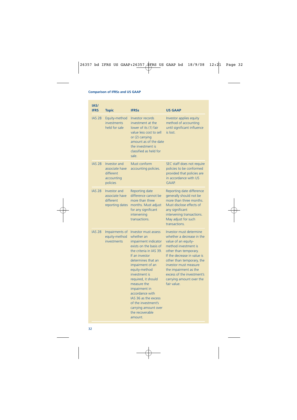| IAS/<br><b>IFRS</b> | <b>Topic</b>                                                          | <b>IFRSs</b>                                                                                                                                                                                                                                                                                                                                                                                        | <b>US GAAP</b>                                                                                                                                                                                                                                                                                                      |
|---------------------|-----------------------------------------------------------------------|-----------------------------------------------------------------------------------------------------------------------------------------------------------------------------------------------------------------------------------------------------------------------------------------------------------------------------------------------------------------------------------------------------|---------------------------------------------------------------------------------------------------------------------------------------------------------------------------------------------------------------------------------------------------------------------------------------------------------------------|
| <b>IAS 28</b>       | Equity-method<br>investments<br>held for sale                         | <b>Investor records</b><br>investment at the<br>lower of its (1) fair<br>value less cost to sell<br>or (2) carrying<br>amount as of the date<br>the investment is<br>classified as held for<br>sale.                                                                                                                                                                                                | Investor applies equity<br>method of accounting<br>until significant influence<br>is lost.                                                                                                                                                                                                                          |
| <b>IAS 28</b>       | Investor and<br>associate have<br>different<br>accounting<br>policies | Must conform<br>accounting policies.                                                                                                                                                                                                                                                                                                                                                                | SEC staff does not require<br>policies to be conformed<br>provided that policies are<br>in accordance with US<br><b>GAAP.</b>                                                                                                                                                                                       |
| <b>IAS 28</b>       | Investor and<br>associate have<br>different<br>reporting dates        | Reporting date<br>difference cannot be<br>more than three<br>months. Must adjust<br>for any significant<br>intervening<br>transactions.                                                                                                                                                                                                                                                             | Reporting date difference<br>generally should not be<br>more than three months.<br>Must disclose effects of<br>any significant<br>intervening transactions.<br>May adjust for such<br>transactions.                                                                                                                 |
| <b>IAS 28</b>       | Impairments of<br>equity-method<br>investments                        | <b>Investor must assess</b><br>whether an<br>impairment indicator<br>exists on the basis of<br>the criteria in IAS 39.<br>If an investor<br>determines that an<br>impairment of an<br>equity-method<br>investment is<br>required, it should<br>measure the<br>impairment in<br>accordance with<br>IAS 36 as the excess<br>of the investment's<br>carrying amount over<br>the recoverable<br>amount. | Investor must determine<br>whether a decrease in the<br>value of an equity-<br>method investment is<br>other than temporary.<br>If the decrease in value is<br>other than temporary, the<br>investor must measure<br>the impairment as the<br>excess of the investment's<br>carrying amount over the<br>fair value. |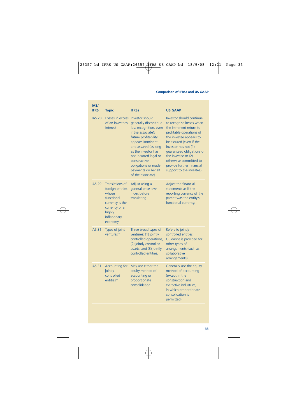| IAS/<br><b>IFRS</b> | <b>Topic</b>                                                                                                                        | <b>IFRSs</b>                                                                                                                                                                                                                                                                                    | <b>US GAAP</b>                                                                                                                                                                                                                                                                                                                   |
|---------------------|-------------------------------------------------------------------------------------------------------------------------------------|-------------------------------------------------------------------------------------------------------------------------------------------------------------------------------------------------------------------------------------------------------------------------------------------------|----------------------------------------------------------------------------------------------------------------------------------------------------------------------------------------------------------------------------------------------------------------------------------------------------------------------------------|
| <b>IAS 28</b>       | Losses in excess<br>of an investor's<br>interest                                                                                    | Investor should<br>generally discontinue<br>loss recognition, even<br>if the associate's<br>future profitability<br>appears imminent<br>and assured (as long<br>as the investor has<br>not incurred legal or<br>constructive<br>obligations or made<br>payments on behalf<br>of the associate). | Investor should continue<br>to recognise losses when<br>the imminent return to<br>profitable operations of<br>the investee appears to<br>be assured (even if the<br>investor has not (1)<br>quaranteed obligations of<br>the investee or (2)<br>otherwise committed to<br>provide further financial<br>support to the investee). |
| <b>IAS 29</b>       | Translations of<br>foreign entities<br>whose<br>functional<br>currency is the<br>currency of a<br>highly<br>inflationary<br>economy | Adjust using a<br>general price level<br>index before<br>translating.                                                                                                                                                                                                                           | Adjust the financial<br>statements as if the<br>reporting currency of the<br>parent was the entity's<br>functional currency.                                                                                                                                                                                                     |
| <b>IAS 31</b>       | Types of joint<br>ventures <sup>13</sup>                                                                                            | Three broad types of<br>ventures: (1) jointly<br>controlled operations,<br>(2) jointly controlled<br>assets, and (3) jointly<br>controlled entities.                                                                                                                                            | Refers to jointly<br>controlled entities.<br>Guidance is provided for<br>other types of<br>arrangements (such as<br>collaborative<br>arrangements).                                                                                                                                                                              |
| <b>IAS 31</b>       | <b>Accounting for</b><br>jointly<br>controlled<br>entities <sup>13</sup>                                                            | May use either the<br>equity method of<br>accounting or<br>proportionate<br>consolidation.                                                                                                                                                                                                      | Generally use the equity<br>method of accounting<br>(except in the<br>construction and<br>extractive industries.<br>in which proportionate<br>consolidation is<br>permitted).                                                                                                                                                    |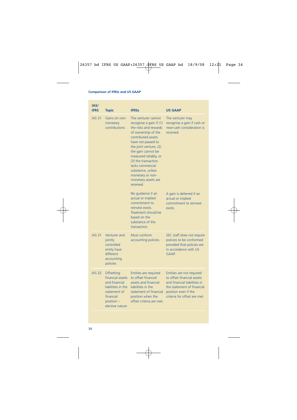| IAS/<br><b>IFRS</b> | <b>Topic</b>                                                                                                                        | <b>IFRSs</b>                                                                                                                                                                                                                                                                                                                                | <b>US GAAP</b>                                                                                                                                                                |
|---------------------|-------------------------------------------------------------------------------------------------------------------------------------|---------------------------------------------------------------------------------------------------------------------------------------------------------------------------------------------------------------------------------------------------------------------------------------------------------------------------------------------|-------------------------------------------------------------------------------------------------------------------------------------------------------------------------------|
| <b>IAS 31</b>       | Gains on non-<br>monetary<br>contributions                                                                                          | The venturer cannot<br>recognise a gain if (1)<br>the risks and rewards<br>of ownership of the<br>contributed assets<br>have not passed to<br>the joint venture, (2)<br>the gain cannot be<br>measured reliably, or<br>(3) the transaction<br>lacks commercial<br>substance, unless<br>monetary or non-<br>monetary assets are<br>received. | The venturer may<br>recognise a gain if cash or<br>near-cash consideration is<br>received.                                                                                    |
|                     |                                                                                                                                     | No guidance if an<br>actual or implied<br>commitment to<br>reinvest exists.<br>Treatment should be<br>based on the<br>substance of the<br>transaction.                                                                                                                                                                                      | A gain is deferred if an<br>actual or implied<br>commitment to reinvest<br>exists.                                                                                            |
| <b>IAS 31</b>       | Venturer and<br>jointly<br>controlled<br>entity have<br>different<br>accounting<br>policies                                         | Must conform<br>accounting policies.                                                                                                                                                                                                                                                                                                        | SEC staff does not require<br>policies to be conformed<br>provided that policies are<br>in accordance with US<br>GAAP.                                                        |
| <b>IAS 32</b>       | Offsetting<br>financial assets<br>and financial<br>liabilities in the<br>statement of<br>financial<br>position -<br>elective nature | <b>Entities are required</b><br>to offset financial<br>assets and financial<br>liabilities in the<br>statement of financial<br>position when the<br>offset criteria are met.                                                                                                                                                                | Entities are not required<br>to offset financial assets<br>and financial liabilities in<br>the statement of financial<br>position even if the<br>criteria for offset are met. |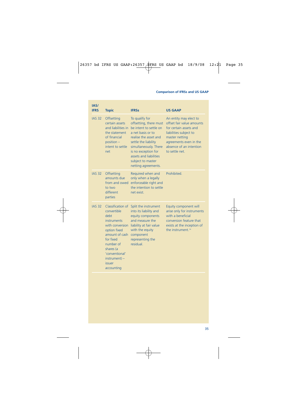| IAS/<br><b>IFRS</b> | <b>Topic</b>                                                                                                                                                                                                                           | <b>IFRSs</b>                                                                                                                                                                                                                                                   | <b>US GAAP</b>                                                                                                                                                                                   |
|---------------------|----------------------------------------------------------------------------------------------------------------------------------------------------------------------------------------------------------------------------------------|----------------------------------------------------------------------------------------------------------------------------------------------------------------------------------------------------------------------------------------------------------------|--------------------------------------------------------------------------------------------------------------------------------------------------------------------------------------------------|
| <b>IAS 32</b>       | Offsetting<br>certain assets<br>and liabilities in<br>the statement<br>of financial<br>position -<br>intent to settle<br>net                                                                                                           | To qualify for<br>offsetting, there must<br>be intent to settle on<br>a net basis or to<br>realise the asset and<br>settle the liability<br>simultaneously. There<br>is no exception for<br>assets and liabilities<br>subject to master<br>netting agreements. | An entity may elect to<br>offset fair value amounts<br>for certain assets and<br>liabilities subject to<br>master netting<br>agreements even in the<br>absence of an intention<br>to settle net. |
| <b>IAS 32</b>       | Offsetting<br>amounts due<br>from and owed<br>to two<br>different<br>parties                                                                                                                                                           | Required when and<br>only when a legally<br>enforceable right and<br>the intention to settle<br>net exist                                                                                                                                                      | Prohibited                                                                                                                                                                                       |
| <b>IAS 32</b>       | Classification of<br>convertible<br><b>debt</b><br><i>instruments</i><br>with conversion<br>option fixed<br>amount of cash<br>for fixed<br>number of<br>shares (a<br>'conventional'<br>$instrument$ ) –<br><i>issuer</i><br>accounting | Split the instrument<br>into its liability and<br>equity components<br>and measure the<br>liability at fair value<br>with the equity<br>component<br>representing the<br>residual.                                                                             | Equity component will<br>arise only for instruments<br>with a beneficial<br>conversion feature that<br>exists at the inception of<br>the instrument. <sup>14</sup>                               |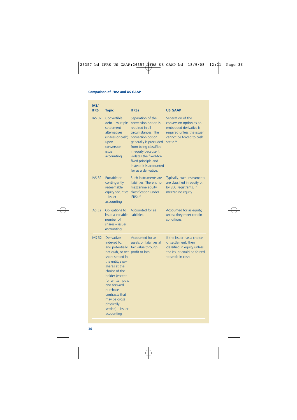| IAS/<br><b>IFRS</b> | <b>Topic</b>                                                                                                                                                                                                                                                                                                            | <b>IFRSs</b>                                                                                                                                                                                                                                                                            | <b>US GAAP</b>                                                                                                                                            |
|---------------------|-------------------------------------------------------------------------------------------------------------------------------------------------------------------------------------------------------------------------------------------------------------------------------------------------------------------------|-----------------------------------------------------------------------------------------------------------------------------------------------------------------------------------------------------------------------------------------------------------------------------------------|-----------------------------------------------------------------------------------------------------------------------------------------------------------|
| <b>IAS 32</b>       | Convertible<br>debt - multiple<br>settlement<br>alternatives<br>(shares or cash)<br>upon<br>conversion -<br>issuer<br>accounting                                                                                                                                                                                        | Separation of the<br>conversion option is<br>required in all<br>circumstances. The<br>conversion option<br>generally is precluded<br>from being classified<br>in equity because it<br>violates the fixed-for-<br>fixed principle and<br>instead it is accounted<br>for as a derivative. | Separation of the<br>conversion option as an<br>embedded derivative is<br>required unless the issuer<br>cannot be forced to cash<br>settle. <sup>14</sup> |
| <b>IAS 32</b>       | Puttable or<br>contingently<br>redeemable<br>equity securities<br>- issuer<br>accounting                                                                                                                                                                                                                                | Such instruments are<br>liabilities. There is no<br>mezzanine equity<br>classification under<br>IFRSs. <sup>15</sup>                                                                                                                                                                    | Typically, such instruments<br>are classified in equity or,<br>by SEC registrants, in<br>mezzanine equity.                                                |
| <b>IAS 32</b>       | Obligations to<br>issue a variable<br>number of<br>shares - issuer<br>accounting                                                                                                                                                                                                                                        | Accounted for as<br>liabilities.                                                                                                                                                                                                                                                        | Accounted for as equity,<br>unless they meet certain<br>conditions.                                                                                       |
| <b>IAS 32</b>       | <b>Derivatives</b><br>indexed to.<br>and potentially<br>net cash, or net profit or loss.<br>share settled in,<br>the entity's own<br>shares at the<br>choice of the<br>holder (except<br>for written puts<br>and forward<br>purchase<br>contracts that<br>may be gross<br>physically<br>settled) - issuer<br>accounting | Accounted for as<br>assets or liabilities at<br>fair value through                                                                                                                                                                                                                      | If the issuer has a choice<br>of settlement, then<br>classified in equity unless<br>the issuer could be forced<br>to settle in cash.                      |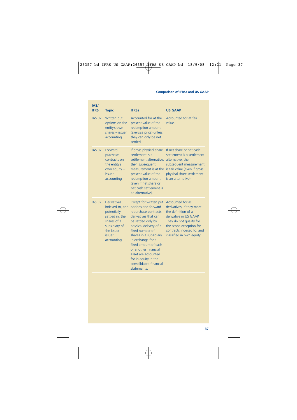| IAS/<br><b>IFRS</b> | <b>Topic</b>                                                                                                                                      | <b>IFRSs</b>                                                                                                                                                                                                                                                                                                                                             | <b>US GAAP</b>                                                                                                                                                                                                 |
|---------------------|---------------------------------------------------------------------------------------------------------------------------------------------------|----------------------------------------------------------------------------------------------------------------------------------------------------------------------------------------------------------------------------------------------------------------------------------------------------------------------------------------------------------|----------------------------------------------------------------------------------------------------------------------------------------------------------------------------------------------------------------|
| <b>IAS 32</b>       | Written put<br>options on the<br>entity's own<br>shares - issuer<br>accounting                                                                    | Accounted for at the<br>present value of the<br>redemption amount<br>(exercise price) unless<br>they can only be net<br>settled.                                                                                                                                                                                                                         | Accounted for at fair<br>value                                                                                                                                                                                 |
| <b>IAS 32</b>       | <b>Forward</b><br>purchase<br>contracts on<br>the entity's<br>own equity -<br>issuer<br>accounting                                                | If gross physical share<br>settlement is a<br>settlement alternative.<br>then subsequent<br>measurement is at the<br>present value of the<br>redemption amount<br>(even if net share or<br>net cash settlement is<br>an alternative).                                                                                                                    | If net share or net cash<br>settlement is a settlement<br>alternative, then<br>subsequent measurement<br>is fair value (even if gross<br>physical share settlement<br>is an alternative).                      |
| <b>IAS 32</b>       | <b>Derivatives</b><br>indexed to, and<br>potentially<br>settled in, the<br>shares of a<br>subsidiary of<br>the issuer $-$<br>issuer<br>accounting | Except for written put<br>options and forward<br>repurchase contracts,<br>derivatives that can<br>be settled only by<br>physical delivery of a<br>fixed number of<br>shares in a subsidiary<br>in exchange for a<br>fixed amount of cash<br>or another financial<br>asset are accounted<br>for in equity in the<br>consolidated financial<br>statements. | Accounted for as<br>derivatives, if they meet<br>the definition of a<br>derivative in US GAAP.<br>They do not qualify for<br>the scope exception for<br>contracts indexed to, and<br>classified in own equity. |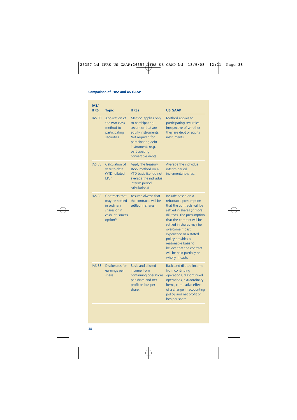| IAS/<br><b>IFRS</b> | <b>Topic</b>                                                                                                 | <b>IFRSs</b>                                                                                                                                                                                | <b>US GAAP</b>                                                                                                                                                                                                                                                                                                                                                         |
|---------------------|--------------------------------------------------------------------------------------------------------------|---------------------------------------------------------------------------------------------------------------------------------------------------------------------------------------------|------------------------------------------------------------------------------------------------------------------------------------------------------------------------------------------------------------------------------------------------------------------------------------------------------------------------------------------------------------------------|
| <b>IAS 33</b>       | Application of<br>the two-class<br>method to<br>participating<br>securities                                  | Method applies only<br>to participating<br>securities that are<br>equity instruments.<br>Not required for<br>participating debt<br>instruments (e.g.<br>participating<br>convertible debt). | Method applies to<br>participating securities<br>irrespective of whether<br>they are debt or equity<br>instruments.                                                                                                                                                                                                                                                    |
| <b>IAS 33</b>       | Calculation of<br>year-to-date<br>(YTD) diluted<br>EPS <sup>16</sup>                                         | Apply the treasury<br>stock method on a<br>YTD basis (i.e. do not<br>average the individual<br>interim period<br>calculations).                                                             | Average the individual<br>interim period<br>incremental shares.                                                                                                                                                                                                                                                                                                        |
| <b>IAS 33</b>       | Contracts that<br>may be settled<br>in ordinary<br>shares or in<br>cash, at issuer's<br>option <sup>16</sup> | Assume always that<br>the contracts will be<br>settled in shares.                                                                                                                           | Include based on a<br>rebuttable presumption<br>that the contracts will be<br>settled in shares (if more<br>dilutive). The presumption<br>that the contract will be<br>settled in shares may be<br>overcome if past<br>experience or a stated<br>policy provides a<br>reasonable basis to<br>believe that the contract<br>will be paid partially or<br>wholly in cash. |
| <b>IAS 33</b>       | Disclosures for<br>earnings per<br>share                                                                     | <b>Basic and diluted</b><br>income from<br>continuing operations<br>per share and net<br>profit or loss per<br>share.                                                                       | Basic and diluted income<br>from continuing<br>operations, discontinued<br>operations, extraordinary<br>items, cumulative effect<br>of a change in accounting<br>policy, and net profit or<br>loss per share.                                                                                                                                                          |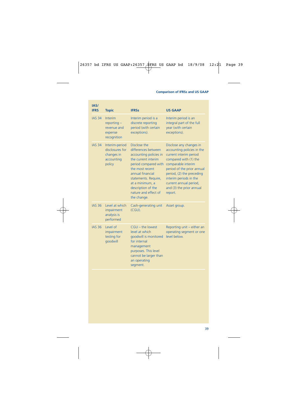| IAS/<br><b>IFRS</b> | <b>Topic</b>                                                            | <b>IFRSs</b>                                                                                                                                                                                                                                                | <b>US GAAP</b>                                                                                                                                                                                                                                                                       |
|---------------------|-------------------------------------------------------------------------|-------------------------------------------------------------------------------------------------------------------------------------------------------------------------------------------------------------------------------------------------------------|--------------------------------------------------------------------------------------------------------------------------------------------------------------------------------------------------------------------------------------------------------------------------------------|
| <b>IAS 34</b>       | Interim<br>$reporting -$<br>revenue and<br>expense<br>recognition       | Interim period is a<br>discrete reporting<br>period (with certain<br>exceptions).                                                                                                                                                                           | Interim period is an<br>integral part of the full<br>year (with certain<br>exceptions).                                                                                                                                                                                              |
| <b>IAS 34</b>       | Interim-period<br>disclosures for<br>changes in<br>accounting<br>policy | Disclose the<br>differences between<br>accounting policies in<br>the current interim<br>period compared with<br>the most recent<br>annual financial<br>statements. Require,<br>at a minimum, a<br>description of the<br>nature and effect of<br>the change. | Disclose any changes in<br>accounting policies in the<br>current interim period<br>compared with (1) the<br>comparable interim<br>period of the prior annual<br>period, (2) the preceding<br>interim periods in the<br>current annual period,<br>and (3) the prior annual<br>report. |
| <b>IAS 36</b>       | Level at which<br>impairment<br>analysis is<br>performed                | Cash-generating unit<br>(CGU).                                                                                                                                                                                                                              | Asset group.                                                                                                                                                                                                                                                                         |
| <b>IAS 36</b>       | Level of<br>impairment<br>testing for<br>goodwill                       | $CGU - the lowest$<br>level at which<br>goodwill is monitored<br>for internal<br>management<br>purposes. This level<br>cannot be larger than<br>an operating<br>segment.                                                                                    | Reporting unit - either an<br>operating segment or one<br>level below.                                                                                                                                                                                                               |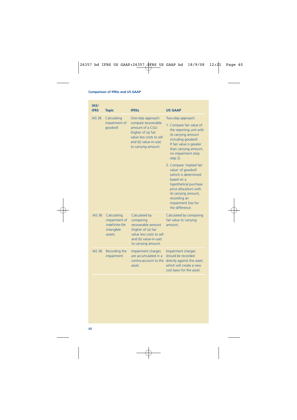| IAS/<br><b>IFRS</b> | <b>Topic</b>                                                            | <b>IFRSs</b>                                                                                                                                                    | <b>US GAAP</b>                                                                                                                                                                                                                                                                                                                                                                                                                               |
|---------------------|-------------------------------------------------------------------------|-----------------------------------------------------------------------------------------------------------------------------------------------------------------|----------------------------------------------------------------------------------------------------------------------------------------------------------------------------------------------------------------------------------------------------------------------------------------------------------------------------------------------------------------------------------------------------------------------------------------------|
| <b>IAS 36</b>       | Calculating<br>impairment of<br>qoodwill                                | One-step approach:<br>compare recoverable<br>amount of a CGU<br>(higher of (a) fair<br>value less costs to sell<br>and (b) value-in-use)<br>to carrying amount. | Two-step approach:<br>1. Compare fair value of<br>the reporting unit with<br>its carrying amount<br>including goodwill.<br>If fair value is greater<br>than carrying amount,<br>no impairment (skip<br>step 2).<br>2. Compare 'implied fair<br>value' of goodwill<br>(which is determined<br>based on a<br>hypothetical purchase<br>price allocation) with<br>its carrying amount,<br>recording an<br>impairment loss for<br>the difference. |
| <b>IAS 36</b>       | Calculating<br>impairment of<br>indefinite-life<br>intangible<br>assets | Calculated by<br>comparing<br>recoverable amount<br>(higher of (a) fair<br>value less costs to sell<br>and (b) value-in-use)<br>to carrying amount.             | Calculated by comparing<br>fair value to carrying<br>amount.                                                                                                                                                                                                                                                                                                                                                                                 |
| <b>IAS 36</b>       | Recording the<br>impairment                                             | Impairment charges<br>are accumulated in a<br>contra-account to the<br>asset.                                                                                   | Impairment charges<br>should be recorded<br>directly against the asset,<br>which will create a new<br>cost basis for the asset.                                                                                                                                                                                                                                                                                                              |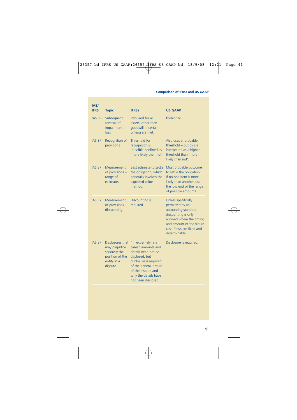| IAS/<br><b>IFRS</b> | <b>Topic</b>                                                                                    | <b>IFRSs</b>                                                                                                                                                                                              | <b>US GAAP</b>                                                                                                                                                                            |
|---------------------|-------------------------------------------------------------------------------------------------|-----------------------------------------------------------------------------------------------------------------------------------------------------------------------------------------------------------|-------------------------------------------------------------------------------------------------------------------------------------------------------------------------------------------|
| <b>IAS 36</b>       | Subsequent<br>reversal of<br>impairment<br>loss                                                 | Required for all<br>assets, other than<br>goodwill, if certain<br>criteria are met                                                                                                                        | Prohibited.                                                                                                                                                                               |
| <b>IAS 37</b>       | Recognition of<br>provisions                                                                    | Threshold for<br>recognition is<br>'possible' (defined as<br>'more likely than not')                                                                                                                      | Also uses a 'probable'<br>threshold $-$ but this is<br>interpreted as a higher<br>threshold than 'more<br>likely than not'.                                                               |
| <b>IAS 37</b>       | Measurement<br>of provisions -<br>range of<br>estimates                                         | Best estimate to settle<br>the obligation, which<br>generally involves the<br>expected value<br>method.                                                                                                   | Most probable outcome<br>to settle the obligation.<br>If no one item is more<br>likely than another, use<br>the low end of the range<br>of possible amounts.                              |
| <b>IAS 37</b>       | Measurement<br>of provisions -<br>discounting                                                   | Discounting is<br>required.                                                                                                                                                                               | Unless specifically<br>permitted by an<br>accounting standard,<br>discounting is only<br>allowed where the timing<br>and amount of the future<br>cash flows are fixed and<br>determinable |
| <b>IAS 37</b>       | Disclosures that<br>may prejudice<br>seriously the<br>position of the<br>entity in a<br>dispute | "In extremely rare<br>cases" amounts and<br>details need not be<br>disclosed, but<br>disclosure is required<br>of the general nature<br>of the dispute and<br>why the details have<br>not been disclosed. | Disclosure is required.                                                                                                                                                                   |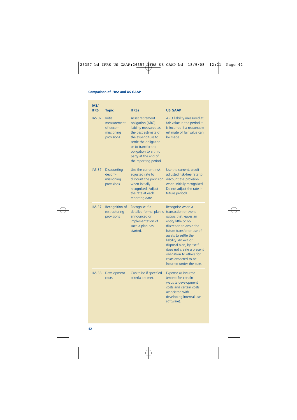| IAS/<br><b>IFRS</b> | <b>Topic</b>                                                           | <b>IFRSs</b>                                                                                                                                                                                                                               | <b>US GAAP</b>                                                                                                                                                                                                                                                                                                                              |
|---------------------|------------------------------------------------------------------------|--------------------------------------------------------------------------------------------------------------------------------------------------------------------------------------------------------------------------------------------|---------------------------------------------------------------------------------------------------------------------------------------------------------------------------------------------------------------------------------------------------------------------------------------------------------------------------------------------|
| <b>IAS 37</b>       | <b>Initial</b><br>measurement<br>of decom-<br>missioning<br>provisions | <b>Asset retirement</b><br>obligation (ARO)<br>liability measured as<br>the best estimate of<br>the expenditure to<br>settle the obligation<br>or to transfer the<br>obligation to a third<br>party at the end of<br>the reporting period. | ARO liability measured at<br>fair value in the period it<br>is incurred if a reasonable<br>estimate of fair value can<br>be made.                                                                                                                                                                                                           |
| <b>IAS 37</b>       | <b>Discounting</b><br>decom-<br>missioning<br>provisions               | Use the current, risk-<br>adjusted rate to<br>discount the provision<br>when initially<br>recognised. Adjust<br>the rate at each<br>reporting date.                                                                                        | Use the current, credit<br>adjusted risk-free rate to<br>discount the provision<br>when initially recognised.<br>Do not adjust the rate in<br>future periods.                                                                                                                                                                               |
| <b>IAS 37</b>       | Recognition of<br>restructuring<br>provisions                          | Recognise if a<br>detailed formal plan is<br>announced or<br>implementation of<br>such a plan has<br>started                                                                                                                               | Recognise when a<br>transaction or event<br>occurs that leaves an<br>entity little or no<br>discretion to avoid the<br>future transfer or use of<br>assets to settle the<br>liability. An exit or<br>disposal plan, by itself,<br>does not create a present<br>obligation to others for<br>costs expected to be<br>incurred under the plan. |
| <b>IAS 38</b>       | Development<br>costs                                                   | Capitalise if specified<br>criteria are met.                                                                                                                                                                                               | Expense as incurred<br>(except for certain<br>website development<br>costs and certain costs<br>associated with<br>developing internal use<br>software).                                                                                                                                                                                    |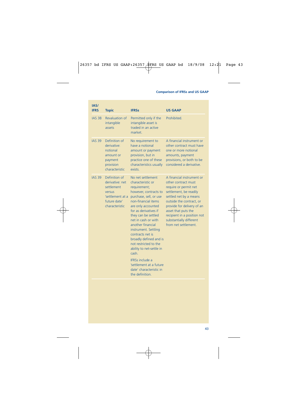| IAS/<br><b>IFRS</b> | <b>Topic</b>                                                                                                   | <b>IFRSs</b>                                                                                                                                                                                                                                                                                                                                                                                                                                                                              | <b>US GAAP</b>                                                                                                                                                                                                                                                                                   |
|---------------------|----------------------------------------------------------------------------------------------------------------|-------------------------------------------------------------------------------------------------------------------------------------------------------------------------------------------------------------------------------------------------------------------------------------------------------------------------------------------------------------------------------------------------------------------------------------------------------------------------------------------|--------------------------------------------------------------------------------------------------------------------------------------------------------------------------------------------------------------------------------------------------------------------------------------------------|
| <b>IAS 38</b>       | Revaluation of<br>intangible<br>assets                                                                         | Permitted only if the<br>intangible asset is<br>traded in an active<br>market.                                                                                                                                                                                                                                                                                                                                                                                                            | Prohibited.                                                                                                                                                                                                                                                                                      |
| <b>IAS 39</b>       | Definition of<br>derivative:<br>notional<br>amount or<br>payment<br>provision<br>characteristic                | No requirement to<br>have a notional<br>amount or payment<br>provision, but in<br>practice one of these<br>characteristics usually<br>exists.                                                                                                                                                                                                                                                                                                                                             | A financial instrument or<br>other contract must have<br>one or more notional<br>amounts, payment<br>provisions, or both to be<br>considered a derivative.                                                                                                                                       |
| <b>IAS 39</b>       | Definition of<br>derivative: net<br>settlement<br>versus<br>'settlement at a<br>future date'<br>characteristic | No net settlement<br>characteristic or<br>requirement;<br>however, contracts to<br>purchase, sell, or use<br>non-financial items<br>are only accounted<br>for as derivatives if<br>they can be settled<br>net in cash or with<br>another financial<br>instrument. Settling<br>contracts net is<br>broadly defined and is<br>not restricted to the<br>ability to net-settle in<br>cash.<br><b>IFRSs include a</b><br>'settlement at a future<br>date' characteristic in<br>the definition. | A financial instrument or<br>other contract must<br>require or permit net<br>settlement, be readily<br>settled net by a means<br>outside the contract, or<br>provide for delivery of an<br>asset that puts the<br>recipient in a position not<br>substantially different<br>from net settlement. |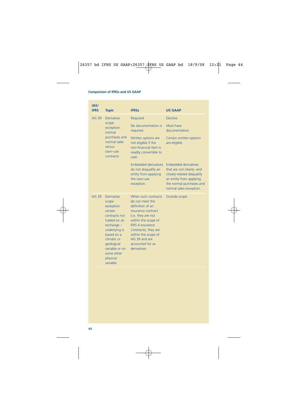| IAS/<br><b>IFRS</b> | <b>Topic</b>                                                                                                                                                                                                             | <b>IFRSs</b>                                                                                                                                                                                                                                                  | <b>US GAAP</b>                                                                                                                                                           |
|---------------------|--------------------------------------------------------------------------------------------------------------------------------------------------------------------------------------------------------------------------|---------------------------------------------------------------------------------------------------------------------------------------------------------------------------------------------------------------------------------------------------------------|--------------------------------------------------------------------------------------------------------------------------------------------------------------------------|
| <b>IAS 39</b>       | <b>Derivative</b>                                                                                                                                                                                                        | Required.                                                                                                                                                                                                                                                     | Elective.                                                                                                                                                                |
|                     | scope<br>exception:<br>normal                                                                                                                                                                                            | No documentation is<br>required.                                                                                                                                                                                                                              | Must have<br>documentation.                                                                                                                                              |
|                     | purchases and<br>normal sales<br>versus<br>own-use<br>contracts                                                                                                                                                          | Written options are<br>not eligible if the<br>non-financial item is<br>readily convertible to<br>cash.                                                                                                                                                        | Certain written options<br>are eligible.                                                                                                                                 |
|                     |                                                                                                                                                                                                                          | <b>Embedded derivatives</b><br>do not disqualify an<br>entity from applying<br>the own-use<br>exception.                                                                                                                                                      | <b>Embedded derivatives</b><br>that are not clearly- and<br>closely-related disqualify<br>an entity from applying<br>the normal purchases and<br>normal sales exception. |
| <b>IAS 39</b>       | <b>Derivative</b><br>scope<br>exception:<br>certain<br>contracts not<br>traded on an<br>$exchange -$<br>underlying is<br>based on a<br>climatic or<br>geological<br>variable or on<br>some other<br>physical<br>variable | When such contracts<br>do not meet the<br>definition of an<br>insurance contract<br>(i.e. they are not<br>within the scope of<br><b>IFRS 4 Insurance</b><br>Contracts), they are<br>within the scope of<br>IAS 39 and are<br>accounted for as<br>derivatives. | Outside scope.                                                                                                                                                           |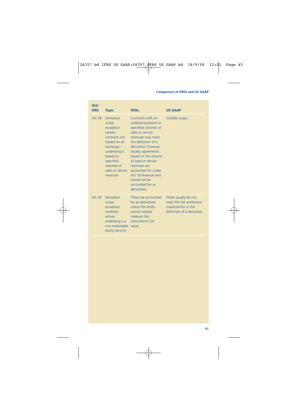| IAS/<br><b>IFRS</b> | <b>Topic</b>                                                                                                                                                                                 | <b>IFRSs</b>                                                                                                                                                                                                                                                                                                                                  | <b>US GAAP</b>                                                                                          |
|---------------------|----------------------------------------------------------------------------------------------------------------------------------------------------------------------------------------------|-----------------------------------------------------------------------------------------------------------------------------------------------------------------------------------------------------------------------------------------------------------------------------------------------------------------------------------------------|---------------------------------------------------------------------------------------------------------|
| <b>IAS 39</b>       | Derivative<br>scope<br>exception:<br>certain<br>contracts not<br>traded on an<br>$exchange -$<br>underlying is<br>based on<br>specified<br>volumes of<br>sales or service<br><b>revenues</b> | Contracts with an<br>underlying based on<br>specified volumes of<br>sales or service<br>revenues may meet<br>the definition of a<br>derivative; however,<br>royalty agreements<br>based on the volume<br>of sales or service<br>revenues are<br>accounted for under<br>IAS 18 Revenue and<br>would not be<br>accounted for as<br>derivatives. | Outside scope.                                                                                          |
| <b>IAS 39</b>       | <b>Derivative</b><br>scope<br>exception:<br>contracts<br>whose<br>non-marketable value.<br>equity security                                                                                   | These are accounted<br>for as derivatives<br>unless the entity<br>cannot reliably<br>measure the<br>underlying is a instrument's fair                                                                                                                                                                                                         | These usually do not<br>meet the net settlement<br>characteristic in the<br>definition of a derivative. |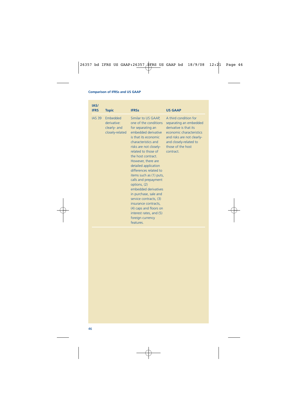| IAS/<br><b>IFRS</b> | <b>Topic</b>                                               | <b>IFRSs</b>                                                                                                                                                                                                                                                                                                                                                                                                                                                                                                                                       | <b>US GAAP</b>                                                                                                                                                                                  |
|---------------------|------------------------------------------------------------|----------------------------------------------------------------------------------------------------------------------------------------------------------------------------------------------------------------------------------------------------------------------------------------------------------------------------------------------------------------------------------------------------------------------------------------------------------------------------------------------------------------------------------------------------|-------------------------------------------------------------------------------------------------------------------------------------------------------------------------------------------------|
| <b>IAS 39</b>       | Embedded<br>derivative:<br>clearly- and<br>closely-related | Similar to US GAAP,<br>one of the conditions<br>for separating an<br>embedded derivative<br>is that its economic<br>characteristics and<br>risks are not closely-<br>related to those of<br>the host contract.<br>However, there are<br>detailed application<br>differences related to<br>items such as (1) puts,<br>calls and prepayment<br>options, (2)<br>embedded derivatives<br>in purchase, sale and<br>service contracts, (3)<br>insurance contracts,<br>(4) caps and floors on<br>interest rates, and (5)<br>foreign currency<br>features. | A third condition for<br>separating an embedded<br>derivative is that its<br>economic characteristics<br>and risks are not clearly-<br>and closely-related to<br>those of the host<br>contract. |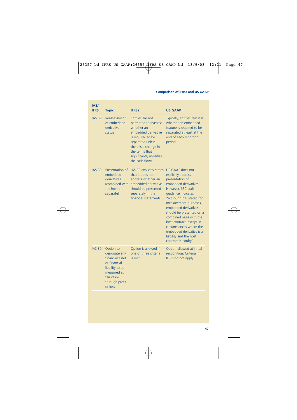| IAS/<br><b>IFRS</b> | <b>Topic</b>                                                                                                                               | <b>IFRSs</b>                                                                                                                                                                                                   | <b>US GAAP</b>                                                                                                                                                                                                                                                                                                                                                                                          |
|---------------------|--------------------------------------------------------------------------------------------------------------------------------------------|----------------------------------------------------------------------------------------------------------------------------------------------------------------------------------------------------------------|---------------------------------------------------------------------------------------------------------------------------------------------------------------------------------------------------------------------------------------------------------------------------------------------------------------------------------------------------------------------------------------------------------|
| <b>IAS 39</b>       | Reassessment<br>of embedded<br>derivative<br>status                                                                                        | Entities are not<br>permitted to reassess<br>whether an<br>embedded derivative<br>is required to be<br>separated unless<br>there is a change in<br>the terms that<br>significantly modifies<br>the cash flows. | Typically, entities reassess<br>whether an embedded<br>feature is required to be<br>separated at least at the<br>end of each reporting<br>period.                                                                                                                                                                                                                                                       |
| <b>IAS 39</b>       | Presentation of<br>embedded<br>derivatives<br>(combined with<br>the host or<br>separate)                                                   | IAS 39 explicitly states<br>that it does not<br>address whether an<br>embedded derivative<br>should be presented<br>separately in the<br>financial statements.                                                 | US GAAP does not<br>explicitly address<br>presentation of<br>embedded derivatives.<br>However, SEC staff<br>quidance indicates<br>"although bifurcated for<br>measurement purposes,<br>embedded derivatives<br>should be presented on a<br>combined basis with the<br>host contract, except in<br>circumstances where the<br>embedded derivative is a<br>liability and the host<br>contract is equity". |
| <b>IAS 39</b>       | Option to<br>designate any<br>financial asset<br>or financial<br>liability to be<br>measured at<br>fair value<br>through profit<br>or loss | Option is allowed if<br>one of three criteria<br>is met.                                                                                                                                                       | Option allowed at initial<br>recognition. Criteria in<br>IFRSs do not apply.                                                                                                                                                                                                                                                                                                                            |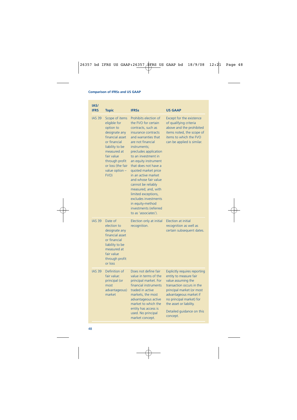| IAS/<br><b>IFRS</b> | <b>Topic</b>                                                                                                                                                                                                       | <b>IFRSs</b>                                                                                                                                                                                                                                                                                                                                                                                                                                                                                 | <b>US GAAP</b>                                                                                                                                                                                                                                                           |
|---------------------|--------------------------------------------------------------------------------------------------------------------------------------------------------------------------------------------------------------------|----------------------------------------------------------------------------------------------------------------------------------------------------------------------------------------------------------------------------------------------------------------------------------------------------------------------------------------------------------------------------------------------------------------------------------------------------------------------------------------------|--------------------------------------------------------------------------------------------------------------------------------------------------------------------------------------------------------------------------------------------------------------------------|
| <b>IAS 39</b>       | Scope of items<br>eligible for<br>option to<br>designate any<br>financial asset<br>or financial<br>liability to be<br>measured at<br>fair value<br>through profit<br>or loss (the fair<br>value option $-$<br>FVO) | Prohibits election of<br>the FVO for certain<br>contracts, such as<br>insurance contracts<br>and warranties that<br>are not financial<br>instruments:<br>precludes application<br>to an investment in<br>an equity instrument<br>that does not have a<br>quoted market price<br>in an active market<br>and whose fair value<br>cannot be reliably<br>measured; and, with<br>limited exceptions,<br>excludes investments<br>in equity-method<br>investments (referred<br>to as 'associates'). | Except for the existence<br>of qualifying criteria<br>above and the prohibited<br>items noted, the scope of<br>items to which the FVO<br>can be applied is similar.                                                                                                      |
| <b>IAS 39</b>       | Date of<br>election to<br>designate any<br>financial asset<br>or financial<br>liability to be<br>measured at<br>fair value<br>through profit<br>or loss                                                            | Election only at initial<br>recognition.                                                                                                                                                                                                                                                                                                                                                                                                                                                     | <b>Election at initial</b><br>recognition as well as<br>certain subsequent dates.                                                                                                                                                                                        |
| <b>IAS 39</b>       | Definition of<br>fair value:<br>principal (or<br>most<br>advantageous)<br>market                                                                                                                                   | Does not define fair<br>value in terms of the<br>principal market. For<br>financial instruments<br>traded in active<br>markets, the most<br>advantageous active<br>market to which the<br>entity has access is<br>used. No principal<br>market concept.                                                                                                                                                                                                                                      | <b>Explicitly requires reporting</b><br>entity to measure fair<br>value assuming the<br>transaction occurs in the<br>principal market (or most<br>advantageous market if<br>no principal market) for<br>the asset or liability.<br>Detailed guidance on this<br>concept. |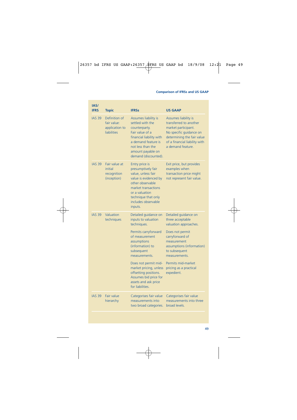| IAS/<br><b>IFRS</b> | <b>Topic</b>                                                  | <b>IFRSs</b>                                                                                                                                                                                                                                                                                                           | <b>US GAAP</b>                                                                                                                                                                                                                                      |
|---------------------|---------------------------------------------------------------|------------------------------------------------------------------------------------------------------------------------------------------------------------------------------------------------------------------------------------------------------------------------------------------------------------------------|-----------------------------------------------------------------------------------------------------------------------------------------------------------------------------------------------------------------------------------------------------|
| <b>IAS 39</b>       | Definition of<br>fair value:<br>application to<br>liabilities | <b>Assumes liability is</b><br>settled with the<br>counterparty.<br>Fair value of a<br>financial liability with<br>a demand feature is<br>not less than the<br>amount payable on<br>demand (discounted).                                                                                                               | Assumes liability is<br>transferred to another<br>market participant.<br>No specific guidance on<br>determining the fair value<br>of a financial liability with<br>a demand feature.                                                                |
| <b>IAS 39</b>       | Fair value at<br>initial<br>recognition<br>(inception)        | Entry price is<br>presumptively fair<br>value, unless fair<br>value is evidenced by<br>other observable<br>market transactions<br>or a valuation<br>technique that only<br>includes observable<br>inputs.                                                                                                              | Exit price, but provides<br>examples when<br>transaction price might<br>not represent fair value.                                                                                                                                                   |
| <b>IAS 39</b>       | Valuation<br>techniques                                       | Detailed guidance on<br>inputs to valuation<br>techniques.<br>Permits carryforward<br>of measurement<br>assumptions<br>(information) to<br>subsequent<br>measurements.<br>Does not permit mid-<br>market pricing, unless<br>offsetting positions.<br>Assumes bid price for<br>assets and ask price<br>for liabilities. | Detailed guidance on<br>three acceptable<br>valuation approaches.<br>Does not permit<br>carryforward of<br>measurement<br>assumptions (information)<br>to subsequent<br>measurements.<br>Permits mid-market<br>pricing as a practical<br>expedient. |
| <b>IAS 39</b>       | <b>Fair value</b><br>hierarchy                                | Categorises fair value<br>measurements into<br>two broad categories.                                                                                                                                                                                                                                                   | Categorises fair value<br>measurements into three<br>broad levels.                                                                                                                                                                                  |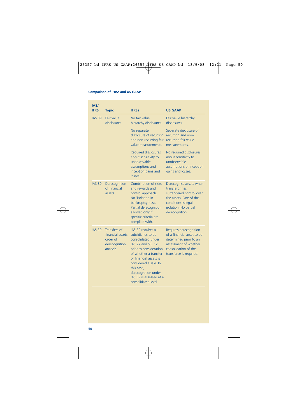| IAS/<br><b>IFRS</b> | <b>Topic</b>                                                                      | <b>IFRSs</b>                                                                                                                                                                                                                                                                      | <b>US GAAP</b>                                                                                                                                                    |
|---------------------|-----------------------------------------------------------------------------------|-----------------------------------------------------------------------------------------------------------------------------------------------------------------------------------------------------------------------------------------------------------------------------------|-------------------------------------------------------------------------------------------------------------------------------------------------------------------|
| <b>IAS 39</b>       | Fair value<br>disclosures                                                         | No fair value<br>hierarchy disclosures.                                                                                                                                                                                                                                           | Fair value hierarchy<br>disclosures.                                                                                                                              |
|                     |                                                                                   | No separate<br>disclosure of recurring<br>and non-recurring fair<br>value measurements.                                                                                                                                                                                           | Separate disclosure of<br>recurring and non-<br>recurring fair value<br>measurements.                                                                             |
|                     |                                                                                   | <b>Required disclosures</b><br>about sensitivity to<br>unobservable<br>assumptions and<br>inception gains and<br>losses.                                                                                                                                                          | No required disclosures<br>about sensitivity to<br>unobservable<br>assumptions or inception<br>gains and losses.                                                  |
| <b>IAS 39</b>       | Derecognition<br>of financial<br>assets                                           | Combination of risks<br>and rewards and<br>control approach.<br>No 'isolation in<br>bankruptcy' test.<br>Partial derecognition<br>allowed only if<br>specific criteria are<br>complied with.                                                                                      | Derecognise assets when<br>transferor has<br>surrendered control over<br>the assets. One of the<br>conditions is legal<br>isolation. No partial<br>derecognition. |
| <b>IAS 39</b>       | <b>Transfers of</b><br>financial assets:<br>order of<br>derecognition<br>analysis | IAS 39 requires all<br>subsidiaries to be<br>consolidated under<br>IAS 27 and SIC 12<br>prior to consideration<br>of whether a transfer<br>of financial assets is<br>considered a sale. In<br>this case,<br>derecognition under<br>IAS 39 is assessed at a<br>consolidated level. | Requires derecognition<br>of a financial asset to be<br>determined prior to an<br>assessment of whether<br>consolidation of the<br>transferee is required.        |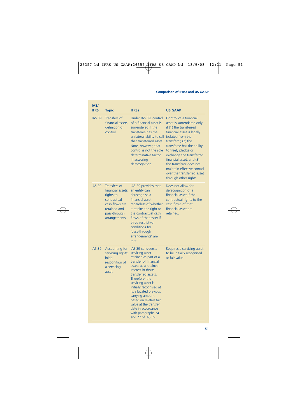| IAS/<br><b>IFRS</b> | <b>Topic</b>                                                                                                                    | <b>IFRSs</b>                                                                                                                                                                                                                                                                                                                                                                                    | <b>US GAAP</b>                                                                                                                                                                                                                                                                                                                                                                       |
|---------------------|---------------------------------------------------------------------------------------------------------------------------------|-------------------------------------------------------------------------------------------------------------------------------------------------------------------------------------------------------------------------------------------------------------------------------------------------------------------------------------------------------------------------------------------------|--------------------------------------------------------------------------------------------------------------------------------------------------------------------------------------------------------------------------------------------------------------------------------------------------------------------------------------------------------------------------------------|
| <b>IAS 39</b>       | Transfers of<br>financial assets:<br>definition of<br>control                                                                   | Under IAS 39, control<br>of a financial asset is<br>surrendered if the<br>transferee has the<br>unilateral ability to sell<br>that transferred asset.<br>Note, however, that<br>control is not the sole<br>determinative factor<br>in assessing<br>derecognition.                                                                                                                               | Control of a financial<br>asset is surrendered only<br>if (1) the transferred<br>financial asset is legally<br>isolated from the<br>transferor, (2) the<br>transferee has the ability<br>to freely pledge or<br>exchange the transferred<br>financial asset, and (3)<br>the transferor does not<br>maintain effective control<br>over the transferred asset<br>through other rights. |
| <b>IAS 39</b>       | Transfers of<br>financial assets:<br>rights to<br>contractual<br>cash flows are<br>retained and<br>pass-through<br>arrangements | IAS 39 provides that<br>an entity can<br>derecognise a<br>financial asset<br>regardless of whether<br>it retains the right to<br>the contractual cash<br>flows of that asset if<br>three restrictive<br>conditions for<br>'pass-through<br>arrangements' are<br>met.                                                                                                                            | Does not allow for<br>derecognition of a<br>financial asset if the<br>contractual rights to the<br>cash flows of that<br>financial asset are<br>retained.                                                                                                                                                                                                                            |
| <b>IAS 39</b>       | <b>Accounting for</b><br>servicing rights:<br>initial<br>recognition of<br>a servicing<br>asset                                 | IAS 39 considers a<br>servicing asset<br>retained as part of a<br>transfer of financial<br>assets as a retained<br>interest in those<br>transferred assets.<br>Therefore, the<br>servicing asset is<br>initially recognised at<br>its allocated previous<br>carrying amount<br>based on relative fair<br>value at the transfer<br>date in accordance<br>with paragraphs 24<br>and 27 of IAS 39. | Requires a servicing asset<br>to be initially recognised<br>at fair value.                                                                                                                                                                                                                                                                                                           |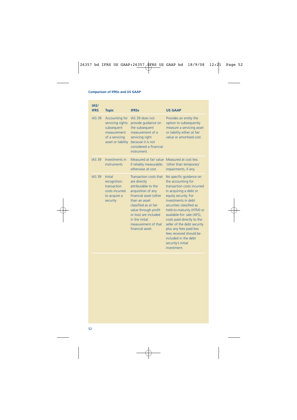| IAS/<br><b>IFRS</b> | <b>Topic</b>                                                                                             | <b>IFRSs</b>                                                                                                                                                                                                                                                          | <b>US GAAP</b>                                                                                                                                                                                                                                                                                                                                                                                                              |
|---------------------|----------------------------------------------------------------------------------------------------------|-----------------------------------------------------------------------------------------------------------------------------------------------------------------------------------------------------------------------------------------------------------------------|-----------------------------------------------------------------------------------------------------------------------------------------------------------------------------------------------------------------------------------------------------------------------------------------------------------------------------------------------------------------------------------------------------------------------------|
| <b>IAS 39</b>       | Accounting for<br>servicing rights:<br>subsequent<br>measurement<br>of a servicing<br>asset or liability | IAS 39 does not<br>provide quidance on<br>the subsequent<br>measurement of a<br>servicing right<br>because it is not<br>considered a financial<br>instrument.                                                                                                         | Provides an entity the<br>option to subsequently<br>measure a servicing asset<br>or liability either at fair<br>value or amortised cost.                                                                                                                                                                                                                                                                                    |
| <b>IAS 39</b>       | Investments in<br>instruments                                                                            | Measured at fair value<br>if reliably measurable;<br>otherwise at cost.                                                                                                                                                                                               | Measured at cost less<br>'other than temporary'<br>impairments, if any.                                                                                                                                                                                                                                                                                                                                                     |
| <b>IAS 39</b>       | <b>Initial</b><br>recognition:<br>transaction<br>costs incurred<br>to acquire a<br>security              | Transaction costs that<br>are directly<br>attributable to the<br>acquisition of any<br>financial asset (other<br>than an asset<br>classified as at fair<br>value through profit<br>or loss) are included<br>in the initial<br>measurement of that<br>financial asset. | No specific guidance on<br>the accounting for<br>transaction costs incurred<br>in acquiring a debt or<br>equity security. For<br>investments in debt<br>securities classified as<br>held-to-maturity (HTM) or<br>available-for- sale (AFS),<br>costs paid directly to the<br>seller of the debt security<br>plus any fees paid less<br>fees received should be<br>included in the debt<br>security's initial<br>investment. |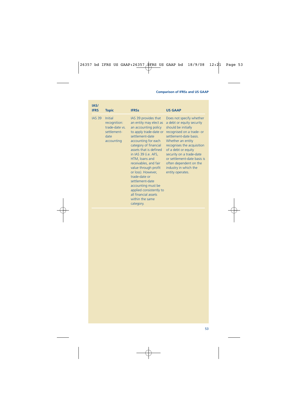| IAS/<br><b>IFRS</b> | <b>Topic</b>                                                                          | <b>IFRSs</b>                                                                                                                                                                                                                                                                                                                                                                                                                                                | <b>US GAAP</b>                                                                                                                                                                                                                                                                                                                                  |
|---------------------|---------------------------------------------------------------------------------------|-------------------------------------------------------------------------------------------------------------------------------------------------------------------------------------------------------------------------------------------------------------------------------------------------------------------------------------------------------------------------------------------------------------------------------------------------------------|-------------------------------------------------------------------------------------------------------------------------------------------------------------------------------------------------------------------------------------------------------------------------------------------------------------------------------------------------|
| <b>IAS 39</b>       | <b>Initial</b><br>recognition:<br>trade-date vs.<br>settlement-<br>date<br>accounting | IAS 39 provides that<br>an entity may elect as<br>an accounting policy<br>to apply trade-date or<br>settlement-date<br>accounting for each<br>category of financial<br>assets that is defined<br>in IAS 39 (i.e. AFS,<br>HTM, loans and<br>receivables, and fair<br>value through profit<br>or loss). However,<br>trade-date or<br>settlement-date<br>accounting must be<br>applied consistently to<br>all financial assets<br>within the same<br>category. | Does not specify whether<br>a debt or equity security<br>should be initially<br>recognised on a trade- or<br>settlement-date basis.<br>Whether an entity<br>recognises the acquisition<br>of a debt or equity<br>security on a trade-date<br>or settlement-date basis is<br>often dependent on the<br>industry in which the<br>entity operates. |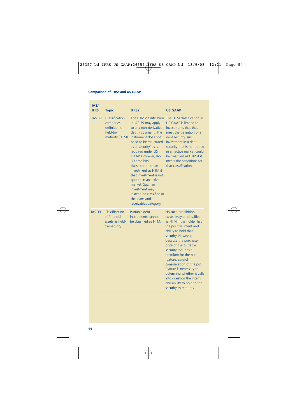| IAS/<br><b>IFRS</b> | <b>Topic</b>                                                                 | <b>IFRSs</b>                                                                                                                                                                                                                                                                                                                                                                                                                                          | <b>US GAAP</b>                                                                                                                                                                                                                                                                                                                                                                                                                                   |
|---------------------|------------------------------------------------------------------------------|-------------------------------------------------------------------------------------------------------------------------------------------------------------------------------------------------------------------------------------------------------------------------------------------------------------------------------------------------------------------------------------------------------------------------------------------------------|--------------------------------------------------------------------------------------------------------------------------------------------------------------------------------------------------------------------------------------------------------------------------------------------------------------------------------------------------------------------------------------------------------------------------------------------------|
| <b>IAS 39</b>       | Classification<br>categories:<br>definition of<br>held-to-<br>maturity (HTM) | The HTM classification<br>in IAS 39 may apply<br>to any non-derivative<br>debt instrument. The<br>instrument does not<br>need to be structured<br>as a 'security' as is<br>required under US<br><b>GAAP. However, IAS</b><br>39 prohibits<br>classification of an<br>investment as HTM if<br>that investment is not<br>quoted in an active<br>market. Such an<br>investment may<br>instead be classified in<br>the loans and<br>receivables category. | The HTM classification in<br>US GAAP is limited to<br>investments that that<br>meet the definition of a<br>debt security. An<br>investment in a debt<br>security that is not traded<br>in an active market could<br>be classified as HTM if it<br>meets the conditions for<br>that classification.                                                                                                                                               |
| <b>IAS 39</b>       | Classification<br>of financial<br>assets as held-<br>to-maturity             | Puttable debt<br>instruments cannot<br>be classified as HTM.                                                                                                                                                                                                                                                                                                                                                                                          | No such prohibition<br>exists. May be classified<br>as HTM if the holder has<br>the positive intent and<br>ability to hold that<br>security. However,<br>because the purchase<br>price of the puttable<br>security includes a<br>premium for the put<br>feature, careful<br>consideration of the put<br>feature is necessary to<br>determine whether it calls<br>into question the intent<br>and ability to hold to the<br>security to maturity. |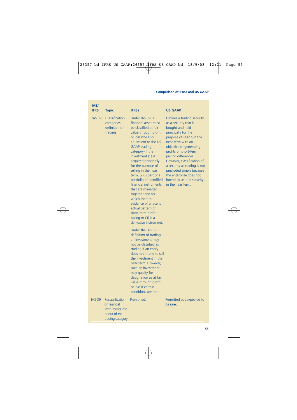| IAS/<br><b>IFRS</b> | <b>Topic</b>                                                                              | <b>IFRSs</b>                                                                                                                                                                                                                                                                                                                                                                                                                                                                                                                                                                                                                                                                                                                                                                                               | <b>US GAAP</b>                                                                                                                                                                                                                                                                                                                                                                                       |
|---------------------|-------------------------------------------------------------------------------------------|------------------------------------------------------------------------------------------------------------------------------------------------------------------------------------------------------------------------------------------------------------------------------------------------------------------------------------------------------------------------------------------------------------------------------------------------------------------------------------------------------------------------------------------------------------------------------------------------------------------------------------------------------------------------------------------------------------------------------------------------------------------------------------------------------------|------------------------------------------------------------------------------------------------------------------------------------------------------------------------------------------------------------------------------------------------------------------------------------------------------------------------------------------------------------------------------------------------------|
| <b>IAS 39</b>       | Classification<br>categories:<br>definition of<br>trading                                 | Under IAS 39, a<br>financial asset must<br>be classified at fair<br>value through profit<br>or loss (the IFRS<br>equivalent to the US<br><b>GAAP</b> trading<br>category) if the<br>investment (1) is<br>acquired principally<br>for the purpose of<br>selling in the near<br>term, $(2)$ is part of a<br>portfolio of identified<br>financial instruments<br>that are managed<br>together and for<br>which there is<br>evidence of a recent<br>actual pattern of<br>short-term profit-<br>taking or $(3)$ is a<br>derivative instrument.<br>Under the IAS 39<br>definition of trading,<br>an investment may<br>not be classified as<br>trading if an entity<br>does not intend to sell<br>the investment in the<br>near term. However.<br>such an investment<br>may qualify for<br>designation as at fair | Defines a trading security<br>as a security that is<br>bought and held<br>principally for the<br>purpose of selling in the<br>near term with an<br>objective of generating<br>profits on short-term<br>pricing differences.<br>However, classification of<br>a security as trading is not<br>precluded simply because<br>the enterprise does not<br>intend to sell the security<br>in the near term. |
|                     |                                                                                           | value through profit<br>or loss if certain<br>conditions are met.                                                                                                                                                                                                                                                                                                                                                                                                                                                                                                                                                                                                                                                                                                                                          |                                                                                                                                                                                                                                                                                                                                                                                                      |
| <b>IAS 39</b>       | Reclassification<br>of financial<br>instruments into<br>or out of the<br>trading category | Prohibited.                                                                                                                                                                                                                                                                                                                                                                                                                                                                                                                                                                                                                                                                                                                                                                                                | Permitted but expected to<br>be rare.                                                                                                                                                                                                                                                                                                                                                                |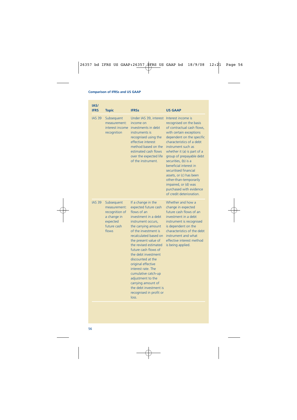| IAS/<br><b>IFRS</b> | <b>Topic</b>                                                                                    | <b>IFRSs</b>                                                                                                                                                                                                                                                                                                                                                                                                                                                                     | <b>US GAAP</b>                                                                                                                                                                                                                                                                                                                                                                                                                                                   |
|---------------------|-------------------------------------------------------------------------------------------------|----------------------------------------------------------------------------------------------------------------------------------------------------------------------------------------------------------------------------------------------------------------------------------------------------------------------------------------------------------------------------------------------------------------------------------------------------------------------------------|------------------------------------------------------------------------------------------------------------------------------------------------------------------------------------------------------------------------------------------------------------------------------------------------------------------------------------------------------------------------------------------------------------------------------------------------------------------|
| <b>IAS 39</b>       | Subsequent<br>measurement:<br>interest income<br>recognition                                    | Under IAS 39, interest<br>income on<br>investments in debt<br>instruments is<br>recognised using the<br>effective interest<br>method based on the<br>estimated cash flows<br>over the expected life<br>of the instrument.                                                                                                                                                                                                                                                        | Interest income is<br>recognised on the basis<br>of contractual cash flows,<br>with certain exceptions<br>dependent on the specific<br>characteristics of a debt<br>instrument such as<br>whether it (a) is part of a<br>group of prepayable debt<br>securities, (b) is a<br>beneficial interest in<br>securitised financial<br>assets, or (c) has been<br>other-than-temporarily<br>impaired, or (d) was<br>purchased with evidence<br>of credit deterioration. |
| <b>IAS 39</b>       | Subsequent<br>measurement:<br>recognition of<br>a change in<br>expected<br>future cash<br>flows | If a change in the<br>expected future cash<br>flows of an<br>investment in a debt<br>instrument occurs,<br>the carrying amount<br>of the investment is<br>recalculated based on<br>the present value of<br>the revised estimated<br>future cash flows of<br>the debt investment<br>discounted at the<br>original effective<br>interest rate. The<br>cumulative catch-up<br>adjustment to the<br>carrying amount of<br>the debt investment is<br>recognised in profit or<br>loss. | Whether and how a<br>change in expected<br>future cash flows of an<br>investment in a debt<br>instrument is recognised<br>is dependent on the<br>characteristics of the debt<br>instrument and what<br>effective interest method<br>is being applied.                                                                                                                                                                                                            |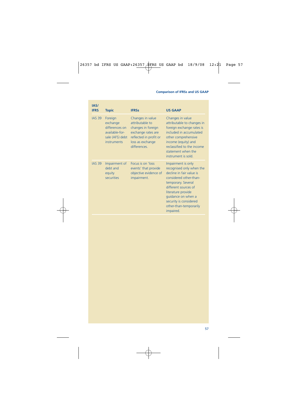| IAS/<br><b>IFRS</b> | <b>Topic</b>                                                                              | <b>IFRSs</b>                                                                                                                                  | <b>US GAAP</b>                                                                                                                                                                                                                                                  |
|---------------------|-------------------------------------------------------------------------------------------|-----------------------------------------------------------------------------------------------------------------------------------------------|-----------------------------------------------------------------------------------------------------------------------------------------------------------------------------------------------------------------------------------------------------------------|
| <b>IAS 39</b>       | Foreign<br>exchange<br>differences on<br>available-for-<br>sale (AFS) debt<br>instruments | Changes in value<br>attributable to<br>changes in foreign<br>exchange rates are<br>reflected in profit or<br>loss as exchange<br>differences. | Changes in value<br>attributable to changes in<br>foreign exchange rates is<br>included in accumulated<br>other comprehensive<br>income (equity) and<br>reclassified to the income<br>statement when the<br>instrument is sold.                                 |
| <b>IAS 39</b>       | Impairment of<br>debt and<br>equity<br>securities                                         | Focus is on 'loss<br>events' that provide<br>objective evidence of<br>impairment.                                                             | Impairment is only<br>recognised only when the<br>decline in fair value is<br>considered other-than-<br>temporary. Several<br>different sources of<br>literature provide<br>quidance on when a<br>security is considered<br>other-than-temporarily<br>impaired. |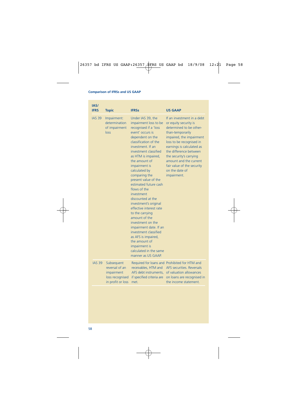| IAS/<br><b>IFRS</b> | <b>Topic</b>                                                                       | <b>IFRSs</b>                                                                                                                                                                                                                                                                                                                                                                                                                                                                                                                                                                                                                                               | <b>US GAAP</b>                                                                                                                                                                                                                                                                                                                        |
|---------------------|------------------------------------------------------------------------------------|------------------------------------------------------------------------------------------------------------------------------------------------------------------------------------------------------------------------------------------------------------------------------------------------------------------------------------------------------------------------------------------------------------------------------------------------------------------------------------------------------------------------------------------------------------------------------------------------------------------------------------------------------------|---------------------------------------------------------------------------------------------------------------------------------------------------------------------------------------------------------------------------------------------------------------------------------------------------------------------------------------|
| <b>IAS 39</b>       | Impairment:<br>determination<br>of impairment<br>loss                              | Under IAS 39, the<br>impairment loss to be<br>recognised if a 'loss<br>event' occurs is<br>dependent on the<br>classification of the<br>investment. If an<br>investment classified<br>as HTM is impaired,<br>the amount of<br>impairment is<br>calculated by<br>comparing the<br>present value of the<br>estimated future cash<br>flows of the<br>investment<br>discounted at the<br>investment's original<br>effective interest rate<br>to the carrying<br>amount of the<br>investment on the<br>impairment date. If an<br>investment classified<br>as AFS is impaired,<br>the amount of<br>impairment is<br>calculated in the same<br>manner as US GAAP. | If an investment in a debt<br>or equity security is<br>determined to be other-<br>than-temporarily<br>impaired, the impairment<br>loss to be recognised in<br>earnings is calculated as<br>the difference between<br>the security's carrying<br>amount and the current<br>fair value of the security<br>on the date of<br>impairment. |
| <b>IAS 39</b>       | Subsequent<br>reversal of an<br>impairment<br>loss recognised<br>in profit or loss | receivables, HTM and<br>AFS debt instruments,<br>if specified criteria are<br>met.                                                                                                                                                                                                                                                                                                                                                                                                                                                                                                                                                                         | Required for loans and Prohibited for HTM and<br>AFS securities, Reversals<br>of valuation allowances<br>on loans are recognised in<br>the income statement.                                                                                                                                                                          |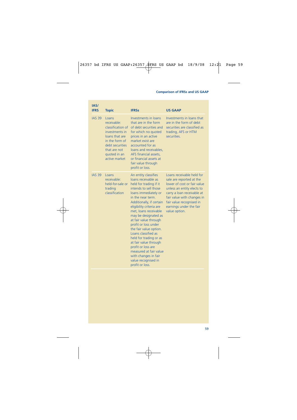| IAS/<br><b>IFRS</b> | <b>Topic</b>                                                                                                                                                        | <b>IFRSs</b>                                                                                                                                                                                                                                                                                                                                                                                                                                                                                                                | <b>US GAAP</b>                                                                                                                                                                                                                                         |
|---------------------|---------------------------------------------------------------------------------------------------------------------------------------------------------------------|-----------------------------------------------------------------------------------------------------------------------------------------------------------------------------------------------------------------------------------------------------------------------------------------------------------------------------------------------------------------------------------------------------------------------------------------------------------------------------------------------------------------------------|--------------------------------------------------------------------------------------------------------------------------------------------------------------------------------------------------------------------------------------------------------|
| <b>IAS 39</b>       | Loans<br>receivable:<br>classification of<br>investments in<br>loans that are<br>in the form of<br>debt securities<br>that are not<br>quoted in an<br>active market | Investments in loans<br>that are in the form<br>of debt securities and<br>for which no quoted<br>prices in an active<br>market exist are<br>accounted for as<br>loans and receivables,<br>AFS financial assets.<br>or financial assets at<br>fair value through<br>profit or loss.                                                                                                                                                                                                                                          | Investments in loans that<br>are in the form of debt<br>securities are classified as<br>trading, AFS or HTM<br>securities.                                                                                                                             |
| <b>IAS 39</b>       | Loans<br>receivable:<br>held-for-sale or<br>trading<br>classification                                                                                               | An entity classifies<br>loans receivable as<br>held for trading if it<br>intends to sell those<br>loans immediately or<br>in the near term.<br>Additionally, if certain<br>eligibility criteria are<br>met, loans receivable<br>may be designated as<br>at fair value through<br>profit or loss under<br>the fair value option.<br>Loans classified as<br>held for trading or as<br>at fair value through<br>profit or loss are<br>measured at fair value<br>with changes in fair<br>value recognised in<br>profit or loss. | Loans receivable held for<br>sale are reported at the<br>lower of cost or fair value<br>unless an entity elects to<br>carry a loan receivable at<br>fair value with changes in<br>fair value recognised in<br>earnings under the fair<br>value option. |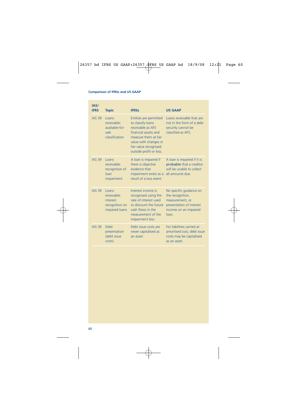| IAS/<br><b>IFRS</b> | <b>Topic</b>                                                                | <b>IFRSs</b>                                                                                                                                                                                  | <b>US GAAP</b>                                                                                                                         |
|---------------------|-----------------------------------------------------------------------------|-----------------------------------------------------------------------------------------------------------------------------------------------------------------------------------------------|----------------------------------------------------------------------------------------------------------------------------------------|
| <b>IAS 39</b>       | Loans<br>receivable:<br>available-for-<br>sale<br>classification            | Entities are permitted<br>to classify loans<br>receivable as AFS<br>financial assets and<br>measure them at fair<br>value with changes in<br>fair value recognised<br>outside profit or loss. | Loans receivable that are<br>not in the form of a debt<br>security cannot be<br>classified as AFS.                                     |
| <b>IAS 39</b>       | Loans<br>receivable:<br>recognition of<br>loan<br>impairment                | A loan is impaired if<br>there is objective<br>evidence that<br>impairment exists as a<br>result of a loss event.                                                                             | A loan is impaired if it is<br>probable that a creditor<br>will be unable to collect<br>all amounts due.                               |
| <b>IAS 39</b>       | Loans<br>receivable:<br><b>interest</b><br>recognition on<br>impaired loans | Interest income is<br>recognised using the<br>rate of interest used<br>to discount the future<br>cash flows in the<br>measurement of the<br>impairment loss.                                  | No specific quidance on<br>the recognition,<br>measurement, or<br>presentation of interest<br>income on an impaired<br>$\mathsf{Ioan}$ |
| <b>IAS 39</b>       | Debt:<br>presentation<br>(debt issue<br>costs)                              | Debt issue costs are<br>never capitalised as<br>an asset.                                                                                                                                     | For liabilities carried at<br>amortised cost, debt issue<br>costs may be capitalised<br>as an asset.                                   |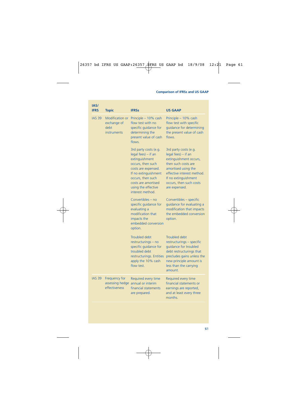| IAS/<br><b>IFRS</b> | <b>Topic</b>                                                 | <b>IFRSs</b>                                                                                                                                                                                                              | <b>US GAAP</b>                                                                                                                                                                                                                         |
|---------------------|--------------------------------------------------------------|---------------------------------------------------------------------------------------------------------------------------------------------------------------------------------------------------------------------------|----------------------------------------------------------------------------------------------------------------------------------------------------------------------------------------------------------------------------------------|
| <b>IAS 39</b>       | Modification or<br>exchange of<br>debt<br><b>instruments</b> | Principle - 10% cash<br>flow test with no<br>specific quidance for<br>determining the<br>present value of cash<br>flows.                                                                                                  | Principle - 10% cash<br>flow test with specific<br>quidance for determining<br>the present value of cash<br>flows.                                                                                                                     |
|                     |                                                              | 3rd party costs (e.g.<br>legal fees) - if an<br>extinguishment<br>occurs, then such<br>costs are expensed.<br>If no extinguishment<br>occurs, then such<br>costs are amortised<br>using the effective<br>interest method. | 3rd party costs (e.g.<br>$\text{legal fees)} - \text{if an}$<br>extinguishment occurs,<br>then such costs are<br>amortised using the<br>effective interest method.<br>If no extinguishment<br>occurs, then such costs<br>are expensed. |
|                     |                                                              | Convertibles – no<br>specific guidance for<br>evaluating a<br>modification that<br>impacts the<br>embedded conversion<br>option.                                                                                          | Convertibles - specific<br>guidance for evaluating a<br>modification that impacts<br>the embedded conversion<br>option.                                                                                                                |
|                     |                                                              | Troubled debt<br>restructurings - no<br>specific quidance for<br>troubled debt<br>restructurings. Entities<br>apply the 10% cash<br>flow test.                                                                            | Troubled debt<br>restructurings - specific<br>quidance for troubled<br>debt restructurings that<br>precludes gains unless the<br>new principle amount is<br>less than the carrying<br>amount.                                          |
| <b>IAS 39</b>       | Frequency for<br>assessing hedge<br>effectiveness            | Required every time<br>annual or interim<br>financial statements<br>are prepared.                                                                                                                                         | Required every time<br>financial statements or<br>earnings are reported,<br>and at least every three<br>months.                                                                                                                        |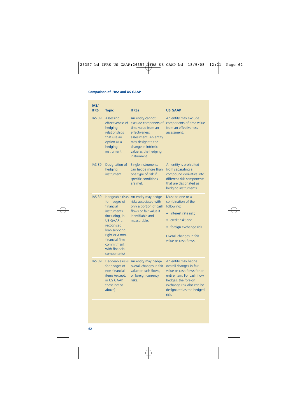| IAS/<br><b>IFRS</b> | <b>Topic</b>                                                                                                                                                                                                            | <b>IFRSs</b>                                                                                                                                                                                | <b>US GAAP</b>                                                                                                                                                                                     |
|---------------------|-------------------------------------------------------------------------------------------------------------------------------------------------------------------------------------------------------------------------|---------------------------------------------------------------------------------------------------------------------------------------------------------------------------------------------|----------------------------------------------------------------------------------------------------------------------------------------------------------------------------------------------------|
| <b>IAS 39</b>       | <b>Assessing</b><br>effectiveness of<br>hedging<br>relationships<br>that use an<br>option as a<br>hedging<br>instrument                                                                                                 | An entity cannot<br>exclude componets of<br>time value from an<br>effectiveness<br>assessment. An entity<br>may designate the<br>change in intrinsic<br>value as the hedging<br>instrument. | An entity may exclude<br>components of time value<br>from an effectiveness<br>assessment.                                                                                                          |
| <b>IAS 39</b>       | Designation of<br>hedging<br>instrument                                                                                                                                                                                 | Single instruments<br>can hedge more than<br>one type of risk if<br>specific conditions<br>are met.                                                                                         | An entity is prohibited<br>from separating a<br>compound derivative into<br>different risk components<br>that are designated as<br>hedging instruments.                                            |
| <b>IAS 39</b>       | Hedgeable risks<br>for hedges of<br>financial<br><b>instruments</b><br>(including, in<br>US GAAP, a<br>recognised<br>loan servicing<br>right or a non-<br>financial firm<br>commitment<br>with financial<br>components) | An entity may hedge<br>risks associated with<br>only a portion of cash<br>flows or fair value if<br>identifiable and<br>measurable.                                                         | Must be one or a<br>combination of the<br>following:<br>interest rate risk;<br>credit risk; and<br>٠<br>foreign exchange risk.<br>Overall changes in fair<br>value or cash flows.                  |
| <b>IAS 39</b>       | Hedgeable risks<br>for hedges of<br>non-financial<br>items (except,<br>in US GAAP,<br>those noted<br>above)                                                                                                             | An entity may hedge<br>overall changes in fair<br>value or cash flows,<br>or foreign currency<br>risks.                                                                                     | An entity may hedge<br>overall changes in fair<br>value or cash flows for an<br>entire item. For cash flow<br>hedges, the foreign<br>exchange risk also can be<br>designated as the hedged<br>risk |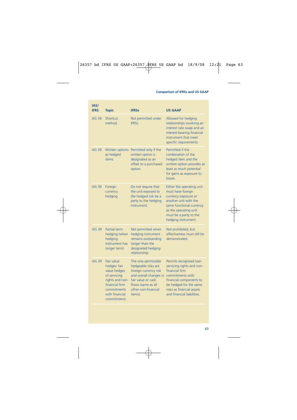| IAS/<br><b>IFRS</b> | <b>Topic</b>                                                                                                                                           | <b>IFRSs</b>                                                                                                                                                                 | <b>US GAAP</b>                                                                                                                                                                                             |
|---------------------|--------------------------------------------------------------------------------------------------------------------------------------------------------|------------------------------------------------------------------------------------------------------------------------------------------------------------------------------|------------------------------------------------------------------------------------------------------------------------------------------------------------------------------------------------------------|
| <b>IAS 39</b>       | Shortcut<br>method                                                                                                                                     | Not permitted under<br><b>IFRSS</b>                                                                                                                                          | Allowed for hedging<br>relationships involving an<br>interest rate swap and an<br>interest-bearing financial<br>instrument that meet<br>specific requirements.                                             |
| <b>IAS 39</b>       | Written options<br>as hedged<br><b>items</b>                                                                                                           | Permitted only if the<br>written option is<br>designated as an<br>offset to a purchased<br>option.                                                                           | Permitted if the<br>combination of the<br>hedged item and the<br>written option provides at<br>least as much potential<br>for gains as exposure to<br>losses.                                              |
| <b>IAS 39</b>       | Foreign<br>currency<br>hedging                                                                                                                         | Do not require that<br>the unit exposed to<br>the hedged risk be a<br>party to the hedging<br>instrument.                                                                    | Either the operating unit<br>must have foreign<br>currency exposure or<br>another unit with the<br>same functional currency<br>as the operating unit<br>must be a party to the<br>hedging instrument.      |
| <b>IAS 39</b>       | Partial-term<br>hedging (when<br>hedging<br>instrument has<br>longer term)                                                                             | Not permitted when<br>hedging instrument<br>remains outstanding<br>longer than the<br>designated hedging<br>relationship.                                                    | Not prohibited, but<br>effectiveness must still be<br>demonstrated.                                                                                                                                        |
| <b>IAS 39</b>       | <b>Fair value</b><br>hedges: fair<br>value hedges<br>of servicing<br>rights and non-<br>financial firm<br>commitments<br>with financial<br>commitments | The only permissible<br>hedgeable risks are<br>foreign currency risk<br>and overall changes in<br>fair value or cash<br>flows (same as all<br>other non-financial<br>items). | Permits recognised loan<br>servicing rights and non-<br>financial firm<br>commitments with<br>financial components to<br>be hedged for the same<br>risks as financial assets<br>and financial liabilities. |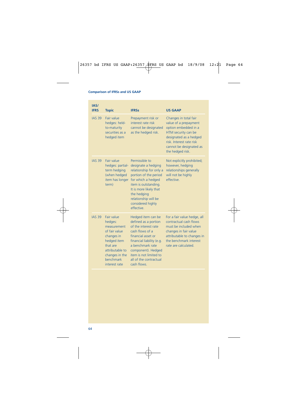| IAS/<br><b>IFRS</b> | <b>Topic</b>                                                                                                                                                             | <b>IFRSs</b>                                                                                                                                                                                                                                          | <b>US GAAP</b>                                                                                                                                                                                     |
|---------------------|--------------------------------------------------------------------------------------------------------------------------------------------------------------------------|-------------------------------------------------------------------------------------------------------------------------------------------------------------------------------------------------------------------------------------------------------|----------------------------------------------------------------------------------------------------------------------------------------------------------------------------------------------------|
| <b>IAS 39</b>       | Fair value<br>hedges: held-<br>to-maturity<br>securities as a<br>hedged item                                                                                             | Prepayment risk or<br>interest rate risk<br>cannot be designated<br>as the hedged risk.                                                                                                                                                               | Changes in total fair<br>value of a prepayment<br>option embedded in a<br>HTM security can be<br>designated as a hedged<br>risk. Interest rate risk<br>cannot be designated as<br>the hedged risk. |
| <b>IAS 39</b>       | Fair value<br>hedges: partial-<br>term hedging<br>(when hedged<br>item has longer<br>term)                                                                               | Permissible to<br>designate a hedging<br>relationship for only a<br>portion of the period<br>for which a hedged<br>item is outstanding.<br>It is more likely that<br>the hedging<br>relationship will be<br>considered highly<br>effective            | Not explicitly prohibited;<br>however, hedging<br>relationships generally<br>will not be highly<br>effective.                                                                                      |
| <b>IAS 39</b>       | <b>Fair value</b><br>hedges:<br>measurement<br>of fair value<br>changes in<br>hedged item<br>that are<br>attributable to<br>changes in the<br>henchmark<br>interest rate | Hedged item can be<br>defined as a portion<br>of the interest rate<br>cash flows of a<br>financial asset or<br>financial liability (e.g.<br>a benchmark rate<br>component). Hedged<br>item is not limited to<br>all of the contractual<br>cash flows. | For a fair value hedge, all<br>contractual cash flows<br>must be included when<br>changes in fair value<br>attributable to changes in<br>the benchmark interest<br>rate are calculated.            |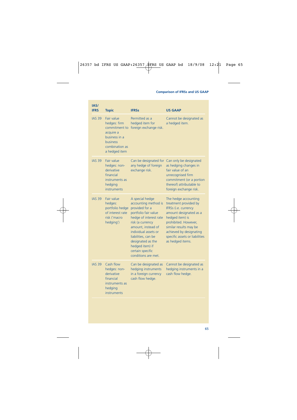| IAS/<br><b>IFRS</b> | <b>Topic</b>                                                                                                             | <b>IFRSs</b>                                                                                                                                                                                                                                                                            | <b>US GAAP</b>                                                                                                                                                                                                                                        |
|---------------------|--------------------------------------------------------------------------------------------------------------------------|-----------------------------------------------------------------------------------------------------------------------------------------------------------------------------------------------------------------------------------------------------------------------------------------|-------------------------------------------------------------------------------------------------------------------------------------------------------------------------------------------------------------------------------------------------------|
| <b>IAS 39</b>       | Fair value<br>hedaes: firm<br>commitment to<br>acquire a<br>business in a<br>business<br>combination as<br>a hedged item | Permitted as a<br>hedged item for<br>foreign exchange risk.                                                                                                                                                                                                                             | Cannot be designated as<br>a hedged item.                                                                                                                                                                                                             |
| <b>IAS 39</b>       | Fair value<br>hedges: non-<br>derivative<br>financial<br>instruments as<br>hedging<br>instruments                        | any hedge of foreign<br>exchange risk.                                                                                                                                                                                                                                                  | Can be designated for Can only be designated<br>as hedging changes in<br>fair value of an<br>unrecognised firm<br>commitment (or a portion<br>thereof) attributable to<br>foreign exchange risk.                                                      |
| <b>IAS 39</b>       | Fair value<br>hedges:<br>portfolio hedge<br>of interest rate<br>risk ('macro<br>hedging')                                | A special hedge<br>accounting method is<br>provided for a<br>portfolio fair value<br>hedge of interest rate<br>risk (a currency<br>amount, instead of<br>individual assets or<br>liabilities, can be<br>designated as the<br>hedged item) if<br>certain specific<br>conditions are met. | The hedge accounting<br>treatment provided by<br>IFRSs (i.e. currency<br>amount designated as a<br>hedged item) is<br>prohibited. However,<br>similar results may be<br>achieved by designating<br>specific assets or liabilities<br>as hedged items. |
| <b>IAS 39</b>       | Cash flow<br>hedges: non-<br>derivative<br>financial<br>instruments as<br>hedging<br>instruments                         | Can be designated as<br>hedging instruments<br>in a foreign currency<br>cash flow hedge.                                                                                                                                                                                                | Cannot be designated as<br>hedging instruments in a<br>cash flow hedge.                                                                                                                                                                               |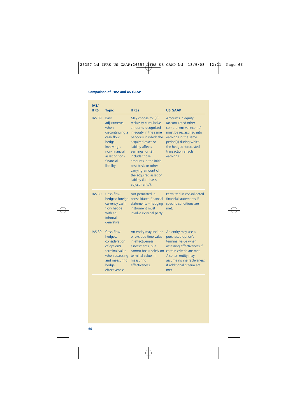| IAS/<br><b>IFRS</b> | <b>Topic</b>                                                                                                                                            | <b>IFRSs</b>                                                                                                                                                                                                                                                                                                                                    | <b>US GAAP</b>                                                                                                                                                                                                       |
|---------------------|---------------------------------------------------------------------------------------------------------------------------------------------------------|-------------------------------------------------------------------------------------------------------------------------------------------------------------------------------------------------------------------------------------------------------------------------------------------------------------------------------------------------|----------------------------------------------------------------------------------------------------------------------------------------------------------------------------------------------------------------------|
| <b>IAS 39</b>       | <b>Basis</b><br>adjustments<br>when<br>discontinuing a<br>cash flow<br>hedge<br>involving a<br>non-financial<br>asset or non-<br>financial<br>liability | May choose to: (1)<br>reclassify cumulative<br>amounts recognised<br>in equity in the same<br>period(s) in which the<br>acquired asset or<br>liability affects<br>earnings, or (2)<br>include those<br>amounts in the initial<br>cost basis or other<br>carrying amount of<br>the acquired asset or<br>liability (i.e. 'basis<br>adjustments'). | Amounts in equity<br>(accumulated other<br>comprehensive income)<br>must be reclassified into<br>earnings in the same<br>period(s) during which<br>the hedged forecasted<br>transaction affects<br>earnings.         |
| <b>IAS 39</b>       | Cash flow<br>hedges: foreign<br>currency cash<br>flow hedge<br>with an<br>internal<br>derivative                                                        | Not permitted in<br>consolidated financial<br>statements - hedging<br>instrument must<br>involve external party.                                                                                                                                                                                                                                | Permitted in consolidated<br>financial statements if<br>specific conditions are<br>met.                                                                                                                              |
| <b>IAS 39</b>       | Cash flow<br>hedaes:<br>consideration<br>of option's<br>terminal value<br>when assessing<br>and measuring<br>hedge<br>effectiveness                     | An entity may include<br>or exclude time value<br>in effectiveness<br>assessments, but<br>cannot focus solely on<br>terminal value in<br>measuring<br>effectiveness.                                                                                                                                                                            | An entity may use a<br>purchased option's<br>terminal value when<br>assessing effectiveness if<br>certain criteria are met.<br>Also, an entity may<br>assume no ineffectiveness<br>if additional criteria are<br>met |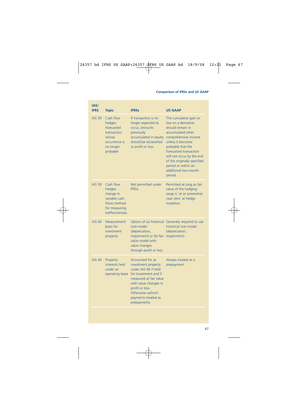| IAS/<br><b>IFRS</b> | <b>Topic</b>                                                                                           | <b>IFRSs</b>                                                                                                                                                                                                                      | <b>US GAAP</b>                                                                                                                                                                                                                                                                                            |
|---------------------|--------------------------------------------------------------------------------------------------------|-----------------------------------------------------------------------------------------------------------------------------------------------------------------------------------------------------------------------------------|-----------------------------------------------------------------------------------------------------------------------------------------------------------------------------------------------------------------------------------------------------------------------------------------------------------|
| <b>IAS 39</b>       | Cash flow<br>hedges:<br>forecasted<br>transaction<br>whose<br>occurrence is<br>no longer<br>probable   | If transaction is no<br>longer expected to<br>occur, amounts<br>previously<br>accumulated in equity<br>should be reclassified<br>to profit or loss.                                                                               | The cumulative gain or<br>loss on a derivative<br>should remain in<br>accumulated other<br>comprehensive income<br>unless it becomes<br>probable that the<br>forecasted transaction<br>will not occur by the end<br>of the originally specified<br>period or within an<br>additional two-month<br>period. |
| <b>IAS 39</b>       | Cash flow<br>hedges:<br>change in<br>variable cash<br>flows method<br>for measuring<br>ineffectiveness | Not permitted under<br><b>IFRSS</b>                                                                                                                                                                                               | Permitted as long as fair<br>value of the hedging<br>swap is 'at or somewhat<br>near zero' at hedge<br>inception.                                                                                                                                                                                         |
| <b>IAS 40</b>       | Measurement<br>basis for<br>investment<br>property                                                     | cost model<br>(depreciation,<br>impairment) or (b) fair<br>value model with<br>value changes<br>through profit or loss.                                                                                                           | Option of (a) historical Generally required to use<br>historical cost model<br>(depreciation,<br>impairment).                                                                                                                                                                                             |
| <b>IAS 40</b>       | Property<br>interests held<br>under an<br>operating lease                                              | <b>Accounted for as</b><br>investment property<br>under IAS 40 if held<br>for investment and if<br>measured at fair value<br>with value changes in<br>profit or loss.<br>Otherwise upfront<br>payments treated as<br>prepayments. | Always treated as a<br>prepayment.                                                                                                                                                                                                                                                                        |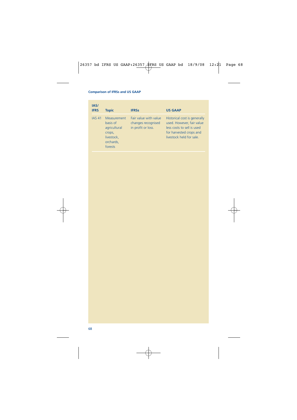| IAS/<br><b>IFRS</b> | <b>Topic</b>                                                                            | <b>IFRSs</b>                                                      | <b>US GAAP</b>                                                                                                                                 |
|---------------------|-----------------------------------------------------------------------------------------|-------------------------------------------------------------------|------------------------------------------------------------------------------------------------------------------------------------------------|
| <b>IAS 41</b>       | Measurement<br>basis of<br>agricultural<br>crops,<br>livestock,<br>orchards,<br>forests | Fair value with value<br>changes recognised<br>in profit or loss. | Historical cost is generally<br>used. However, fair value<br>less costs to sell is used<br>for harvested crops and<br>livestock held for sale. |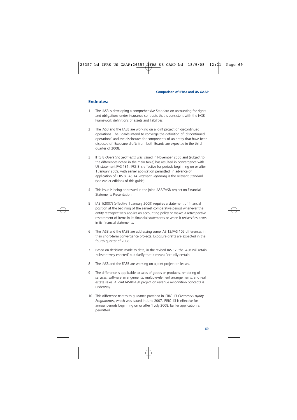## **Endnotes:**

- 1 The IASB is developing a comprehensive Standard on accounting for rights and obligations under insurance contracts that is consistent with the IASB Framework definitions of assets and liabilities.
- 2 The IASB and the FASB are working on a joint project on discontinued operations. The Boards intend to converge the definition of 'discontinued operations' and the disclosures for components of an entity that have been disposed of. Exposure drafts from both Boards are expected in the third quarter of 2008.
- 3 IFRS 8 *Operating Segments* was issued in November 2006 and (subject to the differences noted in the main table) has resulted in convergence with US statement FAS 131. IFRS 8 is effective for periods beginning on or after 1 January 2009, with earlier application permitted. In advance of application of IFRS 8, IAS 14 *Segment Reporting* is the relevant Standard (see earlier editions of this guide).
- 4 This issue is being addressed in the joint IASB/FASB project on Financial Statements Presentation.
- 5 IAS 1(2007) (effective 1 January 2009) requires a statement of financial position at the begining of the earliest comparative period whenever the entity retrospectively applies an accounting policy or makes a retrospective restatement of items in its financial statements or when it reclassifies items in its financial statements.
- 6 The IASB and the FASB are addressing some IAS 12/FAS 109 differences in their short-term convergence projects. Exposure drafts are expected in the fourth quarter of 2008.
- 7 Based on decisions made to date, in the revised IAS 12, the IASB will retain 'substantively enacted' but clarify that it means 'virtually certain'.
- 8 The IASB and the FASB are working on a joint project on leases.
- 9 The difference is applicable to sales of goods or products, rendering of services, software arrangements, multiple-element arrangements, and real estate sales. A joint IASB/FASB project on revenue recognition concepts is underway.
- 10 This difference relates to guidance provided in IFRIC 13 *Customer Loyalty Programmes*, which was issued in June 2007. IFRIC 13 is effective for annual periods beginning on or after 1 July 2008. Earlier application is permitted.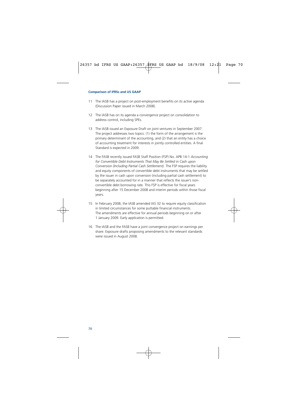- 11 The IASB has a project on post-employment benefits on its active agenda (Discussion Paper issued in March 2008).
- 12 The IASB has on its agenda a convergence project on consolidation to address control, including SPEs.
- 13 The IASB issued an Exposure Draft on joint ventures in September 2007. The project addresses two topics: (1) the form of the arrangement is the primary determinant of the accounting, and (2) that an entity has a choice of accounting treatment for interests in jointly controlled entities. A final Standard is expected in 2009.
- 14 The FASB recently issued FASB Staff Position (FSP) No. APB 14-1 *Accounting for Convertible Debt Instruments That May Be Settled in Cash upon Conversion (Including Partial Cash Settlement).* The FSP requires the liability and equity components of convertible debt instruments that may be settled by the issuer in cash upon conversion (including partial cash settlement) to be separately accounted for in a manner that reflects the issuer's nonconvertible debt borrowing rate. This FSP is effective for fiscal years beginning after 15 December 2008 and interim periods within those fiscal years.
- 15 In February 2008, the IASB amended IAS 32 to require equity classification in limited circumstances for some puttable financial instruments. The amendments are effective for annual periods beginning on or after 1 January 2009. Early application is permitted.
- 16 The IASB and the FASB have a joint convergence project on earnings per share. Exposure drafts proposing amendments to the relevant standards were issued in August 2008.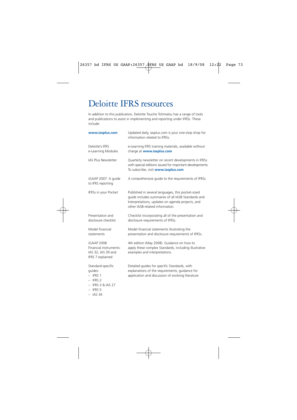## Deloitte IFRS resources

In addition to this publication, Deloitte Touche Tohmatsu has a range of tools and publications to assist in implementing and reporting under IFRSs. These include:

| www.iasplus.com                                                                                             | Updated daily, iasplus.com is your one-stop shop for<br>information related to IFRSs.                                                                                                          |
|-------------------------------------------------------------------------------------------------------------|------------------------------------------------------------------------------------------------------------------------------------------------------------------------------------------------|
| Deloitte's IFRS<br>e-Learning Modules                                                                       | e-Learning IFRS training materials, available without<br>charge at www.iasplus.com                                                                                                             |
| IAS Plus Newsletter                                                                                         | Quarterly newsletter on recent developments in IFRSs<br>with special editions issued for important developments.<br>To subscribe, visit www.iasplus.com                                        |
| iGAAP 2007: A guide<br>to IFRS reporting                                                                    | A comprehensive quide to the requirements of IFRSs                                                                                                                                             |
| IFRSs in your Pocket                                                                                        | Published in several languages, this pocket-sized<br>guide includes summaries of all IASB Standards and<br>Interpretations, updates on agenda projects, and<br>other IASB-related information. |
| Presentation and<br>disclosure checklist                                                                    | Checklist incorporating all of the presentation and<br>disclosure requirements of IFRSs.                                                                                                       |
| Model financial<br>statements                                                                               | Model financial statements illustrating the<br>presentation and disclosure requirements of IFRSs.                                                                                              |
| <b>iGAAP 2008</b><br>Financial instruments:<br>IAS 32, IAS 39 and<br>IFRS 7 explained                       | 4th edition (May 2008). Guidance on how to<br>apply these complex Standards, including illustrative<br>examples and interpretations.                                                           |
| Standard-specific<br>quides:<br>$-$ IFRS 1<br>$-$ IFRS 2<br>$-$ IFRS 3 & IAS 27<br>$-$ IFRS 5<br>$-$ IAS 34 | Detailed guides for specific Standards, with<br>explanations of the requirements, guidance for<br>application and discussion of evolving literature.                                           |